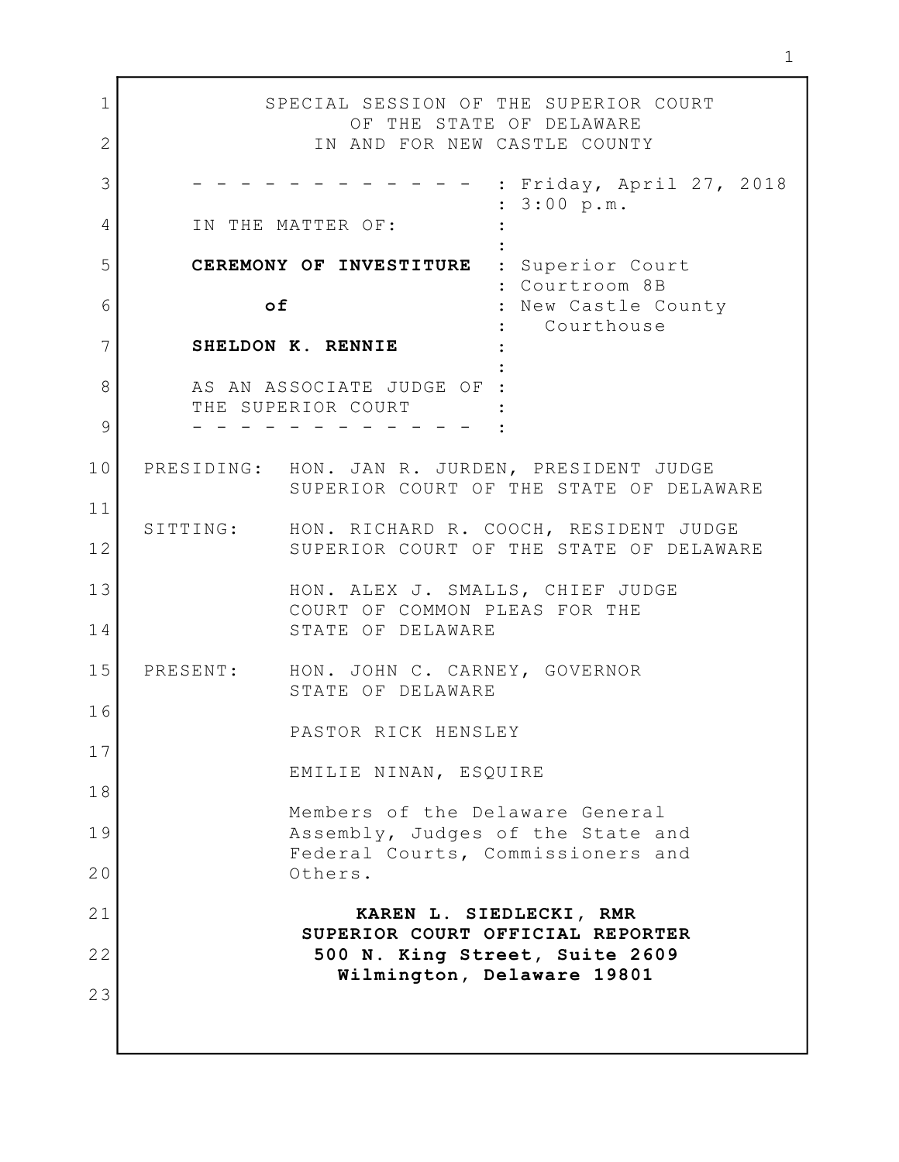1 SPECIAL SESSION OF THE SUPERIOR COURT OF THE STATE OF DELAWARE 2 IN AND FOR NEW CASTLE COUNTY : Friday, April 27, 2018 : 3:00 p.m. A IN THE MATTER OF:  $\qquad \qquad :$ and the control of the control of the control of the control of the control of the control of the control of t 5 | CEREMONY OF INVESTITURE : Superior Court : Courtroom 8B of : New Castle County : Courthouse SHELDON K. RENNIE : 7 and the second control of the second control of the second control of the second control of the second control 8 AS AN ASSOCIATE JUDGE OF : THE SUPERIOR COURT - - - - - - - - - - - - : 9 PRESIDING: HON. JAN R. JURDEN, PRESIDENT JUDGE 10 SUPERIOR COURT OF THE STATE OF DELAWARE SITTING: HON. RICHARD R. COOCH, RESIDENT JUDGE 12 SUPERIOR COURT OF THE STATE OF DELAWARE 13 HON. ALEX J. SMALLS, CHIEF JUDGE COURT OF COMMON PLEAS FOR THE STATE OF DELAWARE 14 HON. JOHN C. CARNEY, GOVERNOR STATE OF DELAWARE PASTOR RICK HENSLEY EMILIE NINAN, ESQUIRE Members of the Delaware General 19 RSSembly, Judges of the State and Federal Courts, Commissioners and 20 Others. 21 | KAREN L. SIEDLECKI, RMR SUPERIOR COURT OFFICIAL REPORTER 22 SOO N. King Street, Suite 2609 And Allen Contract Contract in the 2609 Wilmington, Delaware 19801 3  $6$  of 11 15 PRESENT: 16 17 18 23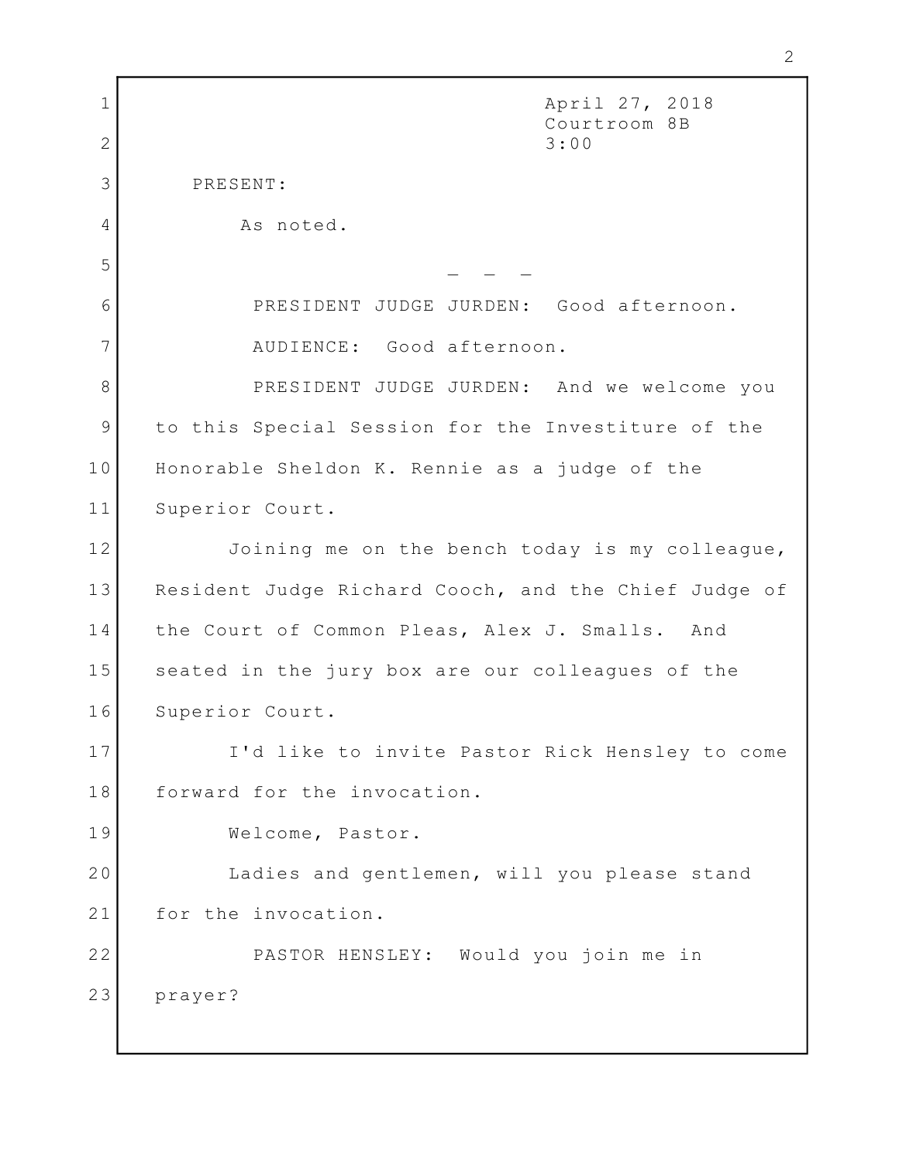April 27, 2018 2<br>
April 27, 2018<br>
Courtroom 8B<br>
3:00 3:00 3 PRESENT: 4 As noted.  $\mathcal{L} = \mathcal{L} \times \mathcal{L}$  , where  $\mathcal{L} = \{ \mathcal{L} \times \mathcal{L} \times \mathcal{L} \times \mathcal{L} \}$ PRESIDENT JUDGE JURDEN: Good afternoon. 6 AUDIENCE: Good afternoon. 7 8 PRESIDENT JUDGE JURDEN: And we welcome you 9 to this Special Session for the Investiture of the (1986) 10 | Honorable Sheldon K. Rennie as a judge of the The 11 Superior Court. 12 Joining me on the bench today is my colleague, I 13 Resident Judge Richard Cooch, and the Chief Judge of 14 | the Court of Common Pleas, Alex J. Smalls. And 15 Seated in the jury box are our colleagues of the 16 Superior Court. I'd like to invite Pastor Rick Hensley to come 17 18 forward for the invocation. Welcome, Pastor. 19 Ladies and gentlemen, will you please stand 20 21 for the invocation. PASTOR HENSLEY: Would you join me in 22 prayer?  $\boxed{1}$  $2 \mid$  $\overline{5}$ 23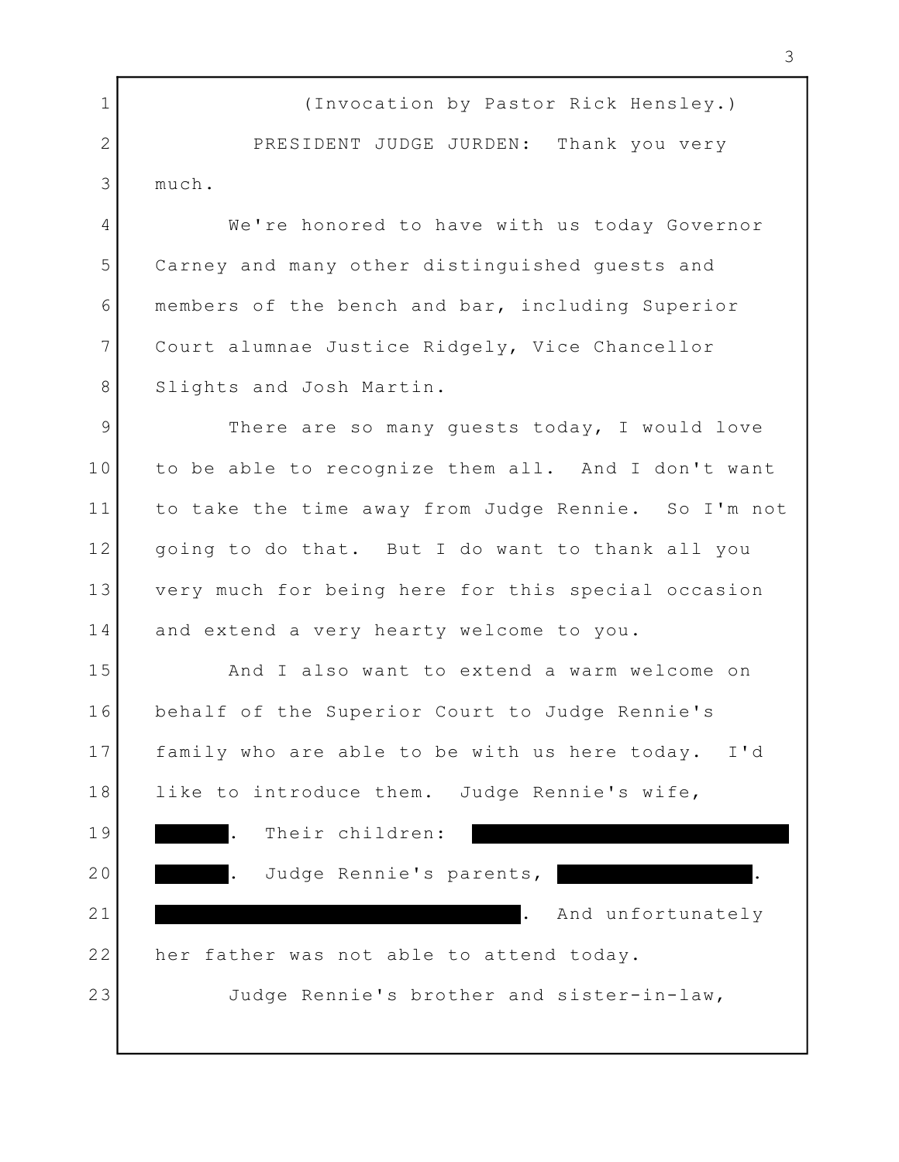(Invocation by Pastor Rick Hensley.) 1 2 PRESIDENT JUDGE JURDEN: Thank you very 3 much.

We're honored to have with us today Governor 4 Carney and many other distinguished guests and 5 members of the bench and bar, including Superior 6 Court alumnae Justice Ridgely, Vice Chancellor 7 8 Slights and Josh Martin.

9 There are so many guests today, I would love to be able to recognize them all. And I don't want 10 11 to take the time away from Judge Rennie. So I'm not | 12 | going to do that. But I do want to thank all you very much for being here for this special occasion 13 and extend a very hearty welcome to you. 14

And I also want to extend a warm welcome on 15 behalf of the Superior Court to Judge Rennie's 16 17 | family who are able to be with us here today. I'd | 18 | like to introduce them. Judge Rennie's wife, Theory . Their children: 19 20 | Constant Ludge Rennie's parents, the constant of the constant of the constant of the constant of the constant of the constant of the constant of the constant of the constant of the constant of the constant of the cons . And unfortunately 22 her father was not able to attend today. Judge Rennie's brother and sister-in-law, 21 23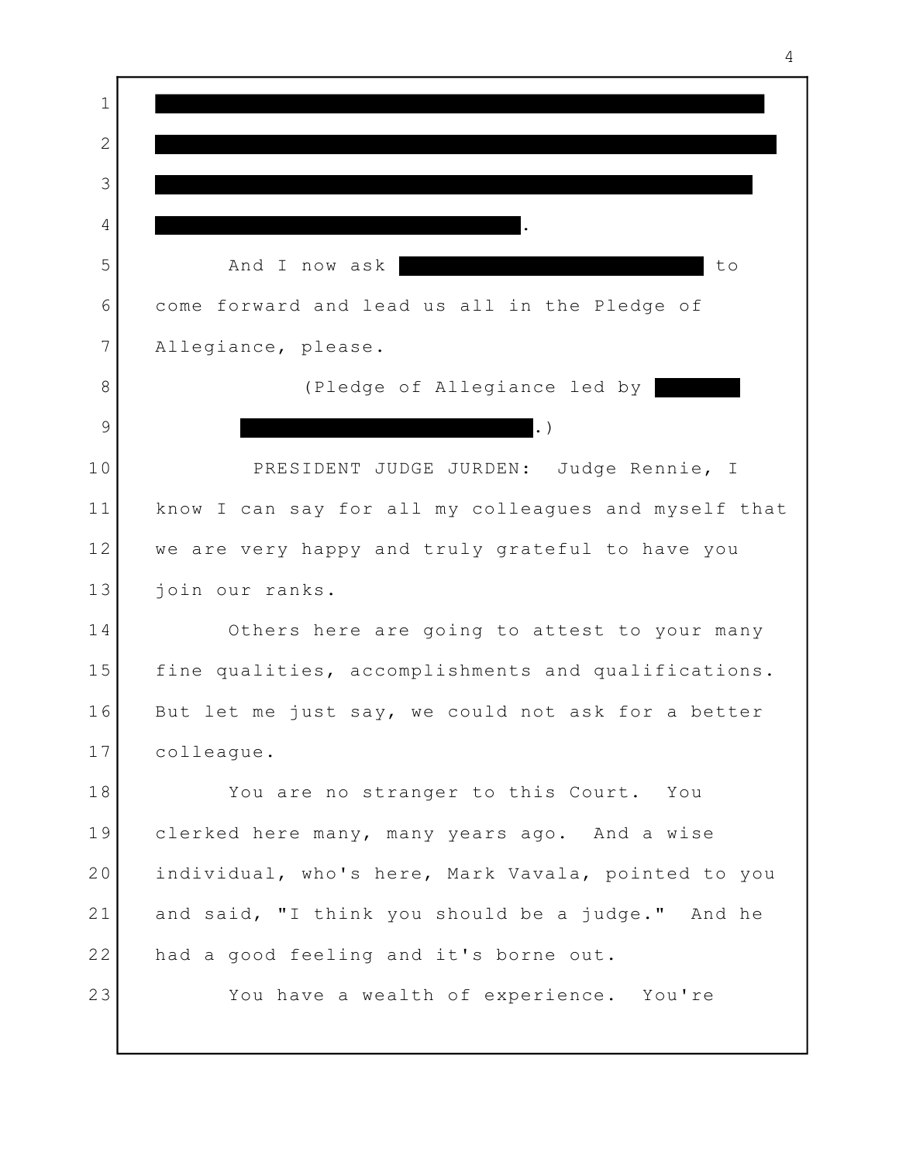<u>. In the contract of the contract of the contract of the contract of the contract of the contract of the contract of the contract of the contract of the contract of the contract of the contract of the contract of the cont</u> 5 and I now ask to to come forward and lead us all in the Pledge of 6 Allegiance, please. 7 8 (Pledge of Allegiance led by .) 10 | PRESIDENT JUDGE JURDEN: Judge Rennie, I know I can say for all my colleagues and myself that 11 we are very happy and truly grateful to have you 12 join our ranks. 13 Others here are going to attest to your many 14 15 | fine qualities, accomplishments and qualifications. | 16 But let me just say, we could not ask for a better | colleague. 17 You are no stranger to this Court. You 18 clerked here many, many years ago. And a wise 19 individual, who's here, Mark Vavala, pointed to you 20 21 and said, "I think you should be a judge." And he l 22 had a good feeling and it's borne out. You have a wealth of experience. You're  $1$ 2  $3 \mid$  4 9 23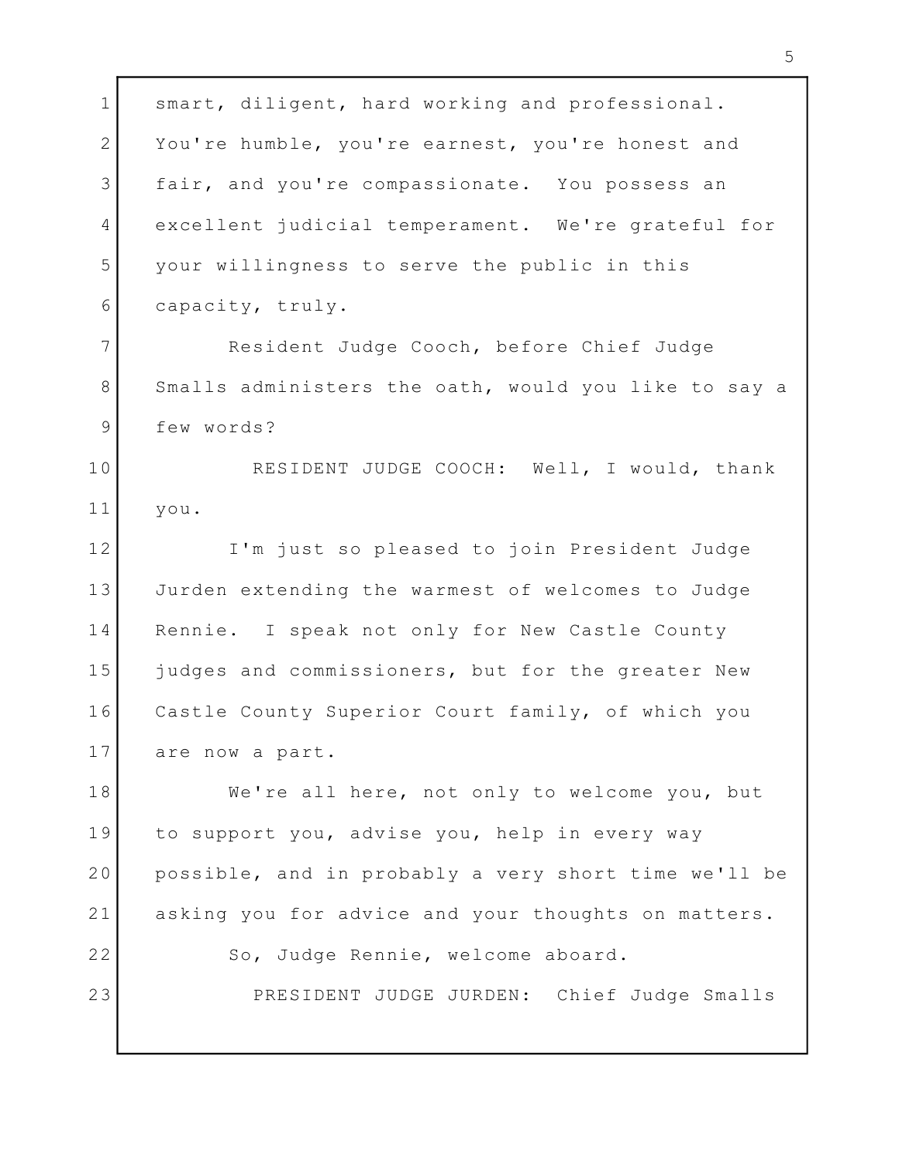1 smart, diligent, hard working and professional. 2 You're humble, you're earnest, you're honest and 3 fair, and you're compassionate. You possess an 4 excellent judicial temperament. We're grateful for ( your willingness to serve the public in this 5 capacity, truly. 6 Resident Judge Cooch, before Chief Judge 7 8 Smalls administers the oath, would you like to say a few words? 9 RESIDENT JUDGE COOCH: Well, I would, thank 10 you. 11 I'm just so pleased to join President Judge 12 13 Jurden extending the warmest of welcomes to Judge (1988) 14 Rennie. I speak not only for New Castle County 14 15 | judges and commissioners, but for the greater New | Castle County Superior Court family, of which you 16 are now a part. 17 We're all here, not only to welcome you, but 18 to support you, advise you, help in every way 19 20 | possible, and in probably a very short time we'll be | 21 asking you for advice and your thoughts on matters.  $\vert$ 22 So, Judge Rennie, welcome aboard. PRESIDENT JUDGE JURDEN: Chief Judge Smalls 23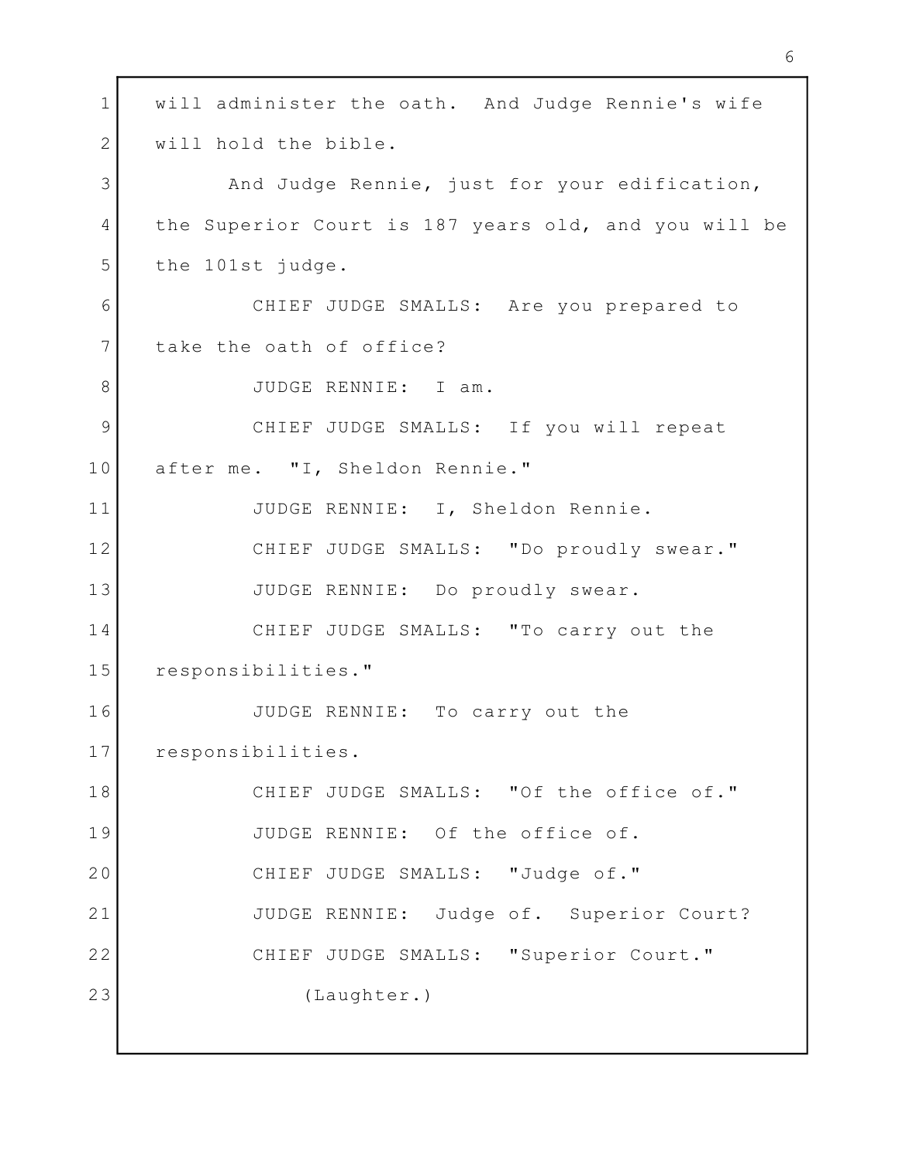will administer the oath. And Judge Rennie's wife 1 2 will hold the bible. 3 and Judge Rennie, just for your edification, 4 | the Superior Court is 187 years old, and you will be | the 101st judge. 5 CHIEF JUDGE SMALLS: Are you prepared to 6 7 take the oath of office? 8 JUDGE RENNIE: I am. CHIEF JUDGE SMALLS: If you will repeat 9 after me. "I, Sheldon Rennie." 10 JUDGE RENNIE: I, Sheldon Rennie. 11 CHIEF JUDGE SMALLS: "Do proudly swear." 12 13 JUDGE RENNIE: Do proudly swear. 14 CHIEF JUDGE SMALLS: "To carry out the responsibilities." 15 JUDGE RENNIE: To carry out the 16 17 Presponsibilities. CHIEF JUDGE SMALLS: "Of the office of." 18 19 JUDGE RENNIE: Of the office of. 20 CHIEF JUDGE SMALLS: "Judge of." 21| JUDGE RENNIE: Judge of. Superior Court? 22 CHIEF JUDGE SMALLS: "Superior Court." (Laughter.) 23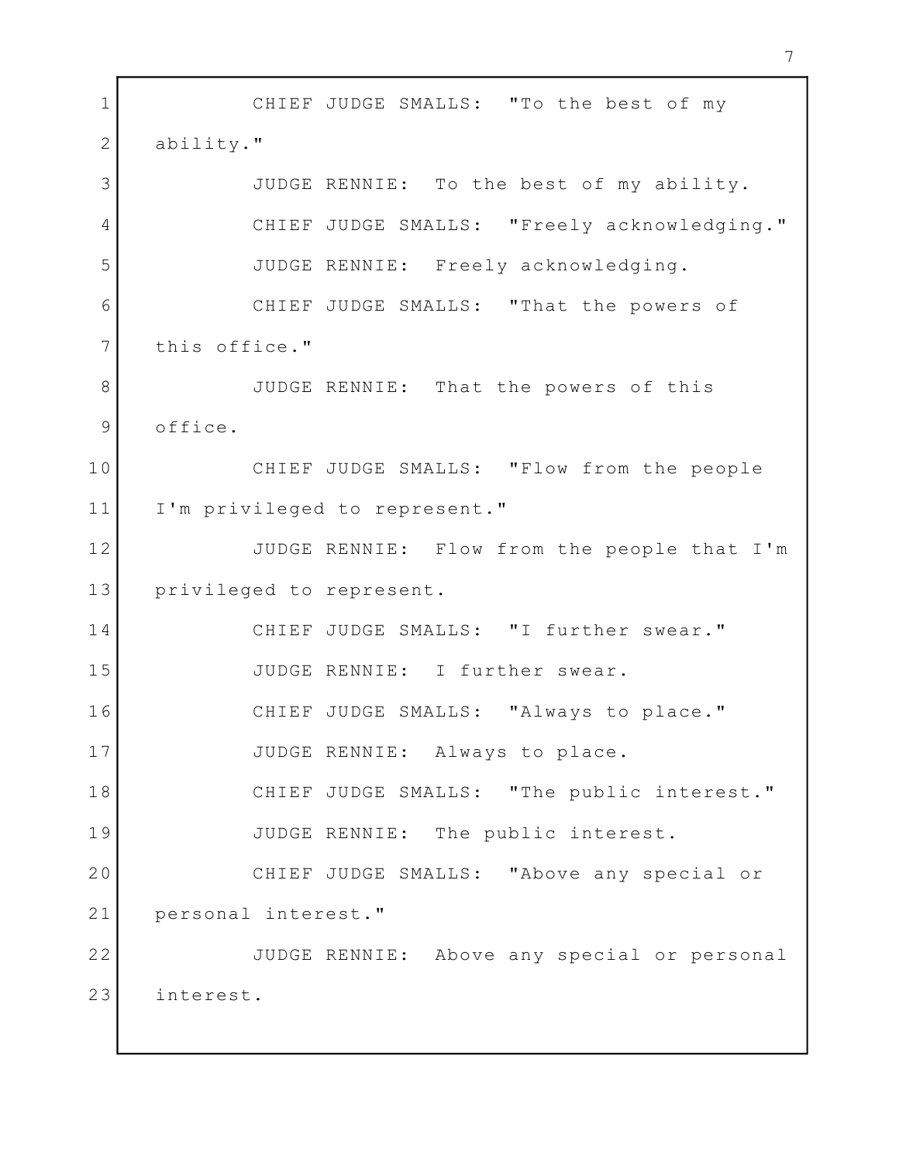CHIEF JUDGE SMALLS: "To the best of my 1 2 ability." JUDGE RENNIE: To the best of my ability. 3 4 CHIEF JUDGE SMALLS: "Freely acknowledging." | JUDGE RENNIE: Freely acknowledging. 5 CHIEF JUDGE SMALLS: "That the powers of 6 7 this office." 8 SUDGE RENNIE: That the powers of this 9 office. CHIEF JUDGE SMALLS: "Flow from the people 10 11 I'm privileged to represent." JUDGE RENNIE: Flow from the people that I'm 12 13 privileged to represent. CHIEF JUDGE SMALLS: "I further swear." 14 JUDGE RENNIE: I further swear. 15 CHIEF JUDGE SMALLS: "Always to place." 16 17 JUDGE RENNIE: Always to place. CHIEF JUDGE SMALLS: "The public interest." 18 19 JUDGE RENNIE: The public interest. CHIEF JUDGE SMALLS: "Above any special or 20 personal interest." 21 JUDGE RENNIE: Above any special or personal 22 interest. 23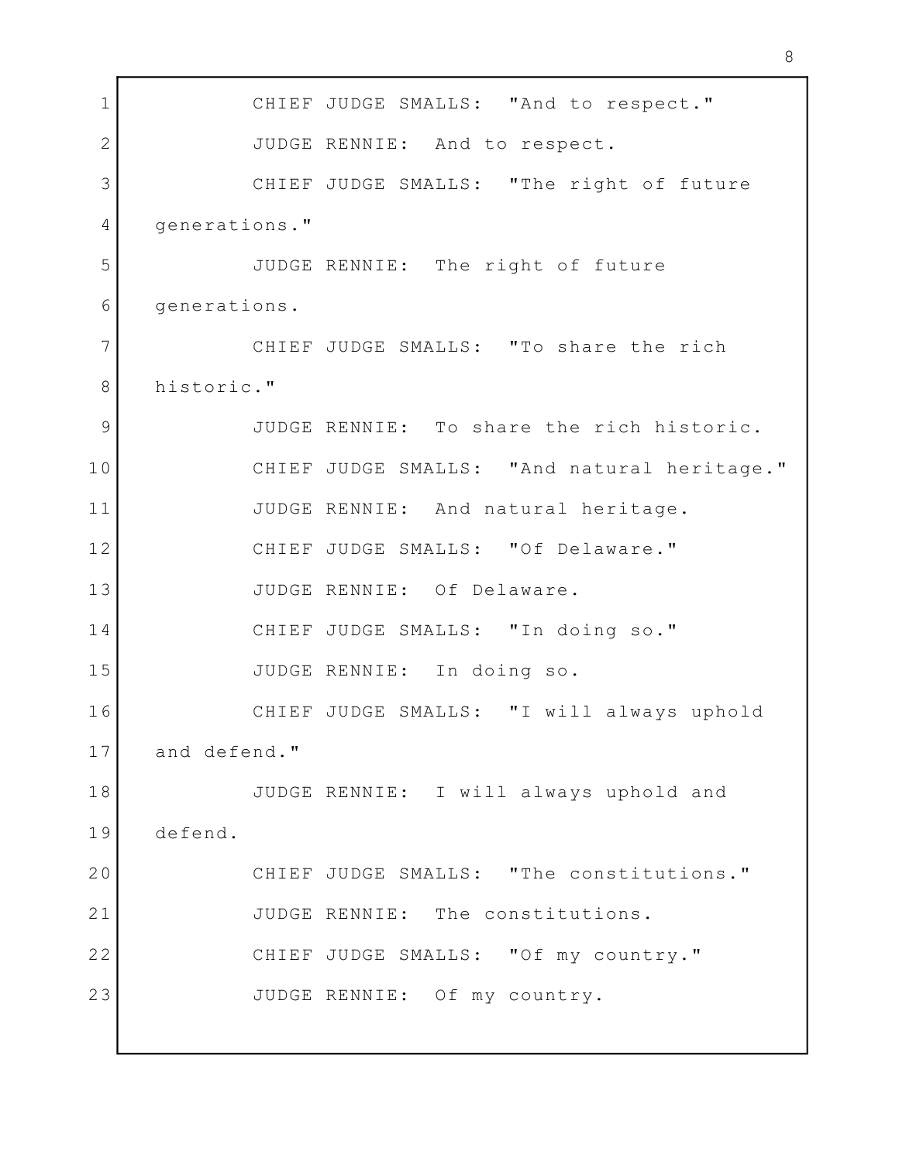1 CHIEF JUDGE SMALLS: "And to respect." 2 JUDGE RENNIE: And to respect. CHIEF JUDGE SMALLS: "The right of future 3 4 generations." JUDGE RENNIE: The right of future 5 6 generations. CHIEF JUDGE SMALLS: "To share the rich 7 8 historic." JUDGE RENNIE: To share the rich historic. 9 CHIEF JUDGE SMALLS: "And natural heritage." 10 JUDGE RENNIE: And natural heritage. 11 CHIEF JUDGE SMALLS: "Of Delaware." 12 JUDGE RENNIE: Of Delaware. 13 14 CHIEF JUDGE SMALLS: "In doing so." JUDGE RENNIE: In doing so. 15 CHIEF JUDGE SMALLS: "I will always uphold 16 and defend." 17 JUDGE RENNIE: I will always uphold and 18 defend. 19 20 CHIEF JUDGE SMALLS: "The constitutions." 21 JUDGE RENNIE: The constitutions. 22 CHIEF JUDGE SMALLS: "Of my country." JUDGE RENNIE: Of my country. 23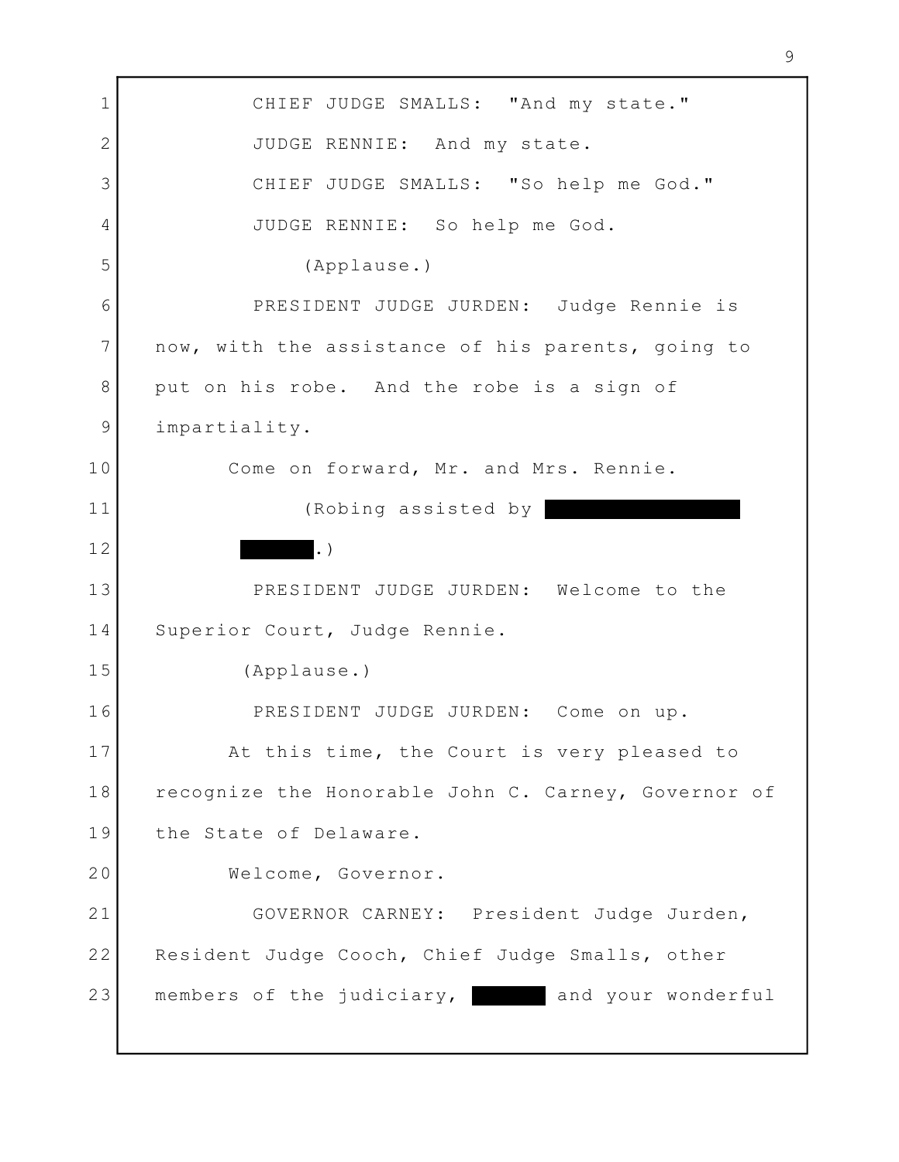1 CHIEF JUDGE SMALLS: "And my state." 2 JUDGE RENNIE: And my state. CHIEF JUDGE SMALLS: "So help me God." 3 JUDGE RENNIE: So help me God. 4 (Applause.) 5 PRESIDENT JUDGE JURDEN: Judge Rennie is 6 7 now, with the assistance of his parents, going to 8 put on his robe. And the robe is a sign of impartiality. 9 Come on forward, Mr. and Mrs. Rennie. 10 (Robing assisted by 11 .) PRESIDENT JUDGE JURDEN: Welcome to the 13 14 Superior Court, Judge Rennie. (Applause.) 15 PRESIDENT JUDGE JURDEN: Come on up. 16 17 at this time, the Court is very pleased to the M 18 | recognize the Honorable John C. Carney, Governor of 19 the State of Delaware. 20 Welcome, Governor. 21| GOVERNOR CARNEY: President Judge Jurden, | 22 Resident Judge Cooch, Chief Judge Smalls, other members of the judiciary, and your wonderful 12 23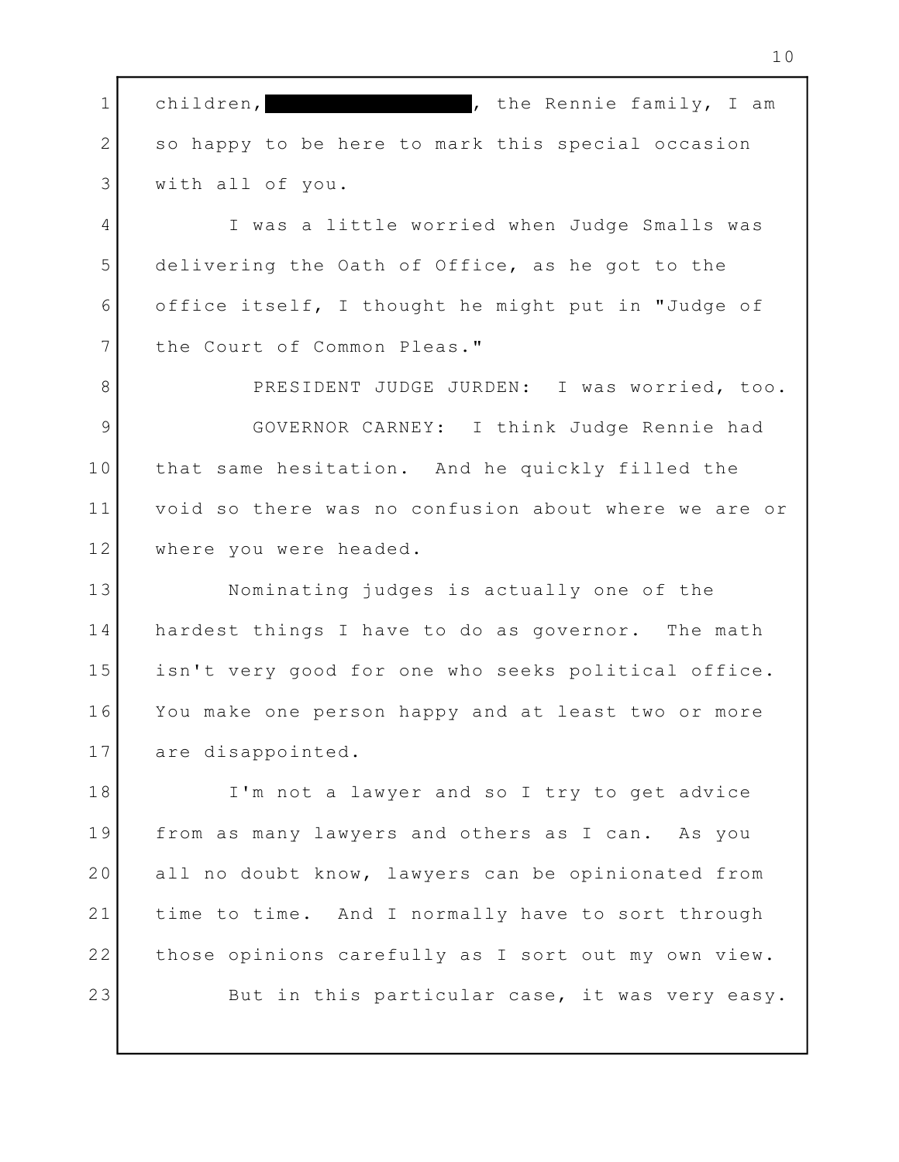, the Rennie family, I am 2 So happy to be here to mark this special occasion (1986) with all of you. 3 1 children,

4 T was a little worried when Judge Smalls was delivering the Oath of Office, as he got to the 5 office itself, I thought he might put in "Judge of 6 7 the Court of Common Pleas."

8 PRESIDENT JUDGE JURDEN: I was worried, too. 9 | GOVERNOR CARNEY: I think Judge Rennie had 10 | that same hesitation. And he quickly filled the 11 | void so there was no confusion about where we are or | where you were headed. 12

Nominating judges is actually one of the 13 14 | hardest things I have to do as governor. The math | isn't very good for one who seeks political office. 15 You make one person happy and at least two or more 16 are disappointed. 17

I'm not a lawyer and so I try to get advice 18 from as many lawyers and others as I can. As you 19 all no doubt know, lawyers can be opinionated from 20 21 | time to time. And I normally have to sort through | 22 | those opinions carefully as I sort out my own view. | But in this particular case, it was very easy. 23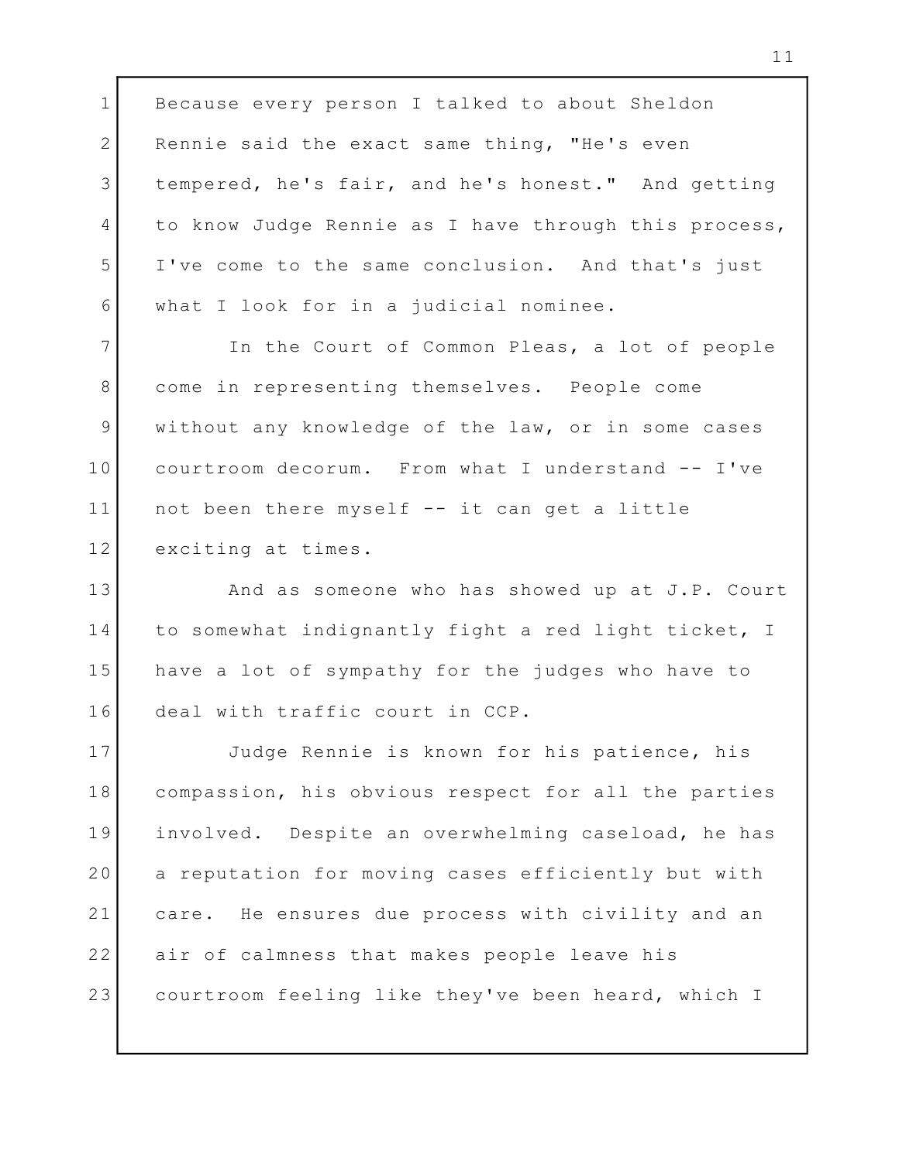1 Because every person I talked to about Sheldon 2 Rennie said the exact same thing, "He's even tempered, he's fair, and he's honest." And getting 3 4 to know Judge Rennie as I have through this process, | I've come to the same conclusion. And that's just 5 what I look for in a judicial nominee. 6 In the Court of Common Pleas, a lot of people 7 come in representing themselves. People come 8 9 | without any knowledge of the law, or in some cases | courtroom decorum. From what I understand -- I've 10 not been there myself -- it can get a little 11 12 exciting at times. 13 | And as someone who has showed up at J.P. Court 14 | to somewhat indignantly fight a red light ticket, I | 15 have a lot of sympathy for the judges who have to the lead of 16 deal with traffic court in CCP. Judge Rennie is known for his patience, his 17 compassion, his obvious respect for all the parties 18 involved. Despite an overwhelming caseload, he has 19 20 | a reputation for moving cases efficiently but with |

care. He ensures due process with civility and an 21 air of calmness that makes people leave his 22 courtroom feeling like they've been heard, which I 23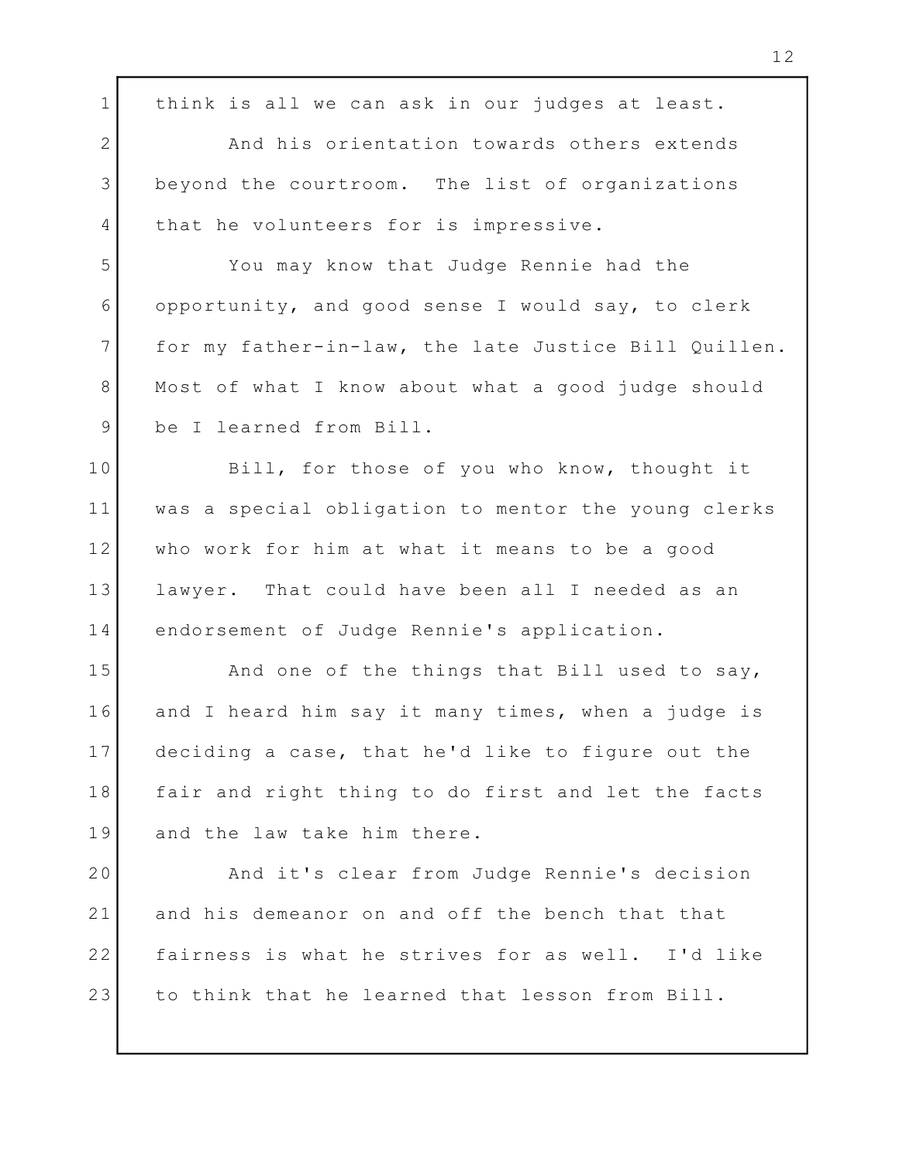1 | think is all we can ask in our judges at least. 2 | And his orientation towards others extends beyond the courtroom. The list of organizations 3 4 that he volunteers for is impressive. You may know that Judge Rennie had the 5 opportunity, and good sense I would say, to clerk 6 7 for my father-in-law, the late Justice Bill Quillen. 8 | Most of what I know about what a good judge should | be I learned from Bill. 9 10 Bill, for those of you who know, thought it was a special obligation to mentor the young clerks 11 who work for him at what it means to be a good 12 lawyer. That could have been all I needed as an 13 14 endorsement of Judge Rennie's application. 15 and one of the things that Bill used to say, and one of the things that Bill used to say, 16 and I heard him say it many times, when a judge is I deciding a case, that he'd like to figure out the 17 18 | fair and right thing to do first and let the facts | 19 and the law take him there. And it's clear from Judge Rennie's decision 20 21 and his demeanor on and off the bench that that That 22 | fairness is what he strives for as well. I'd like | to think that he learned that lesson from Bill. 23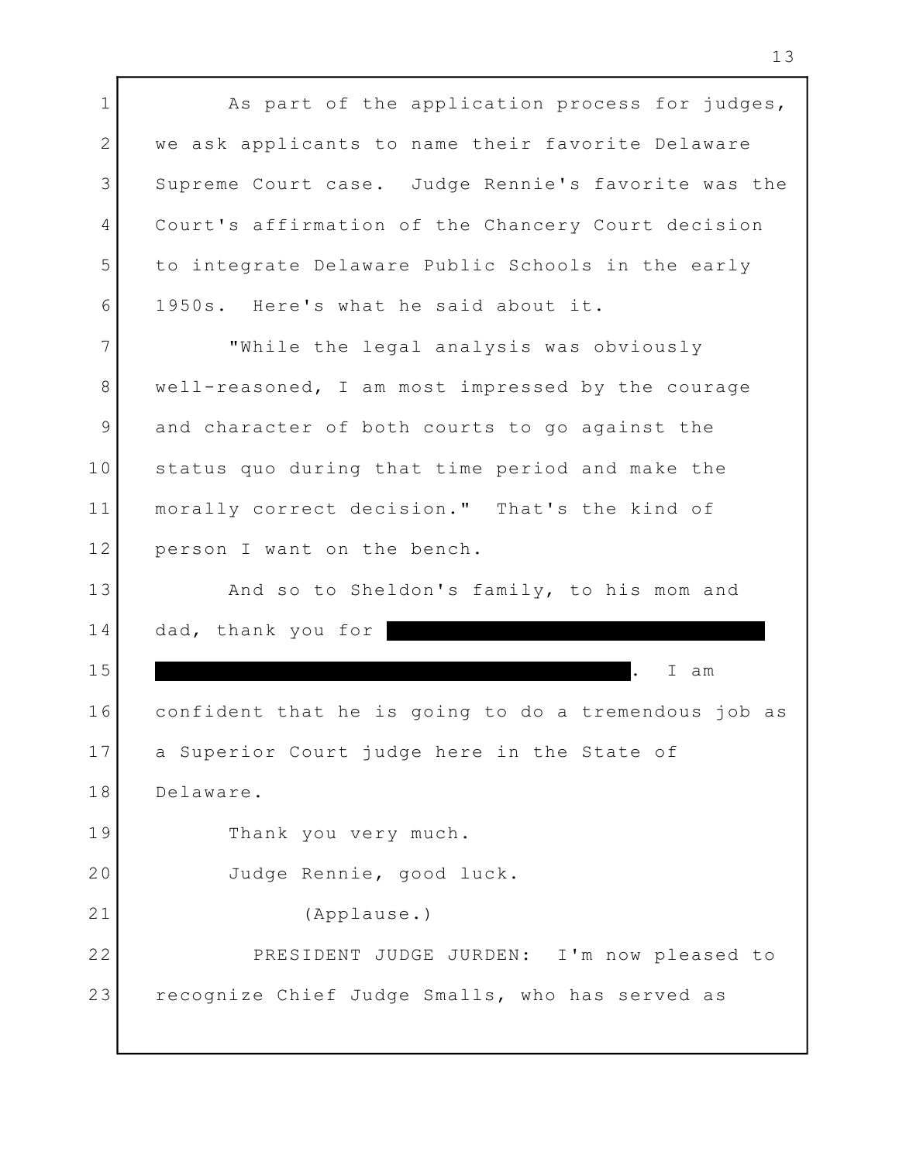1 as part of the application process for judges, 1 2 | we ask applicants to name their favorite Delaware | 3 Supreme Court case. Judge Rennie's favorite was the 4 Court's affirmation of the Chancery Court decision ( to integrate Delaware Public Schools in the early 5 1950s. Here's what he said about it. 6 "While the legal analysis was obviously 7 well-reasoned, I am most impressed by the courage 8 9 and character of both courts to go against the Theory 10 Status quo during that time period and make the Theory morally correct decision." That's the kind of 11 12 person I want on the bench. And so to Sheldon's family, to his mom and 13 14 dad, thank you for . I am confident that he is going to do a tremendous job as 16 17 a Superior Court judge here in the State of Delaware. 18 19 Thank you very much. Judge Rennie, good luck. 20 (Applause.) 21 PRESIDENT JUDGE JURDEN: I'm now pleased to 22 recognize Chief Judge Smalls, who has served as 15 23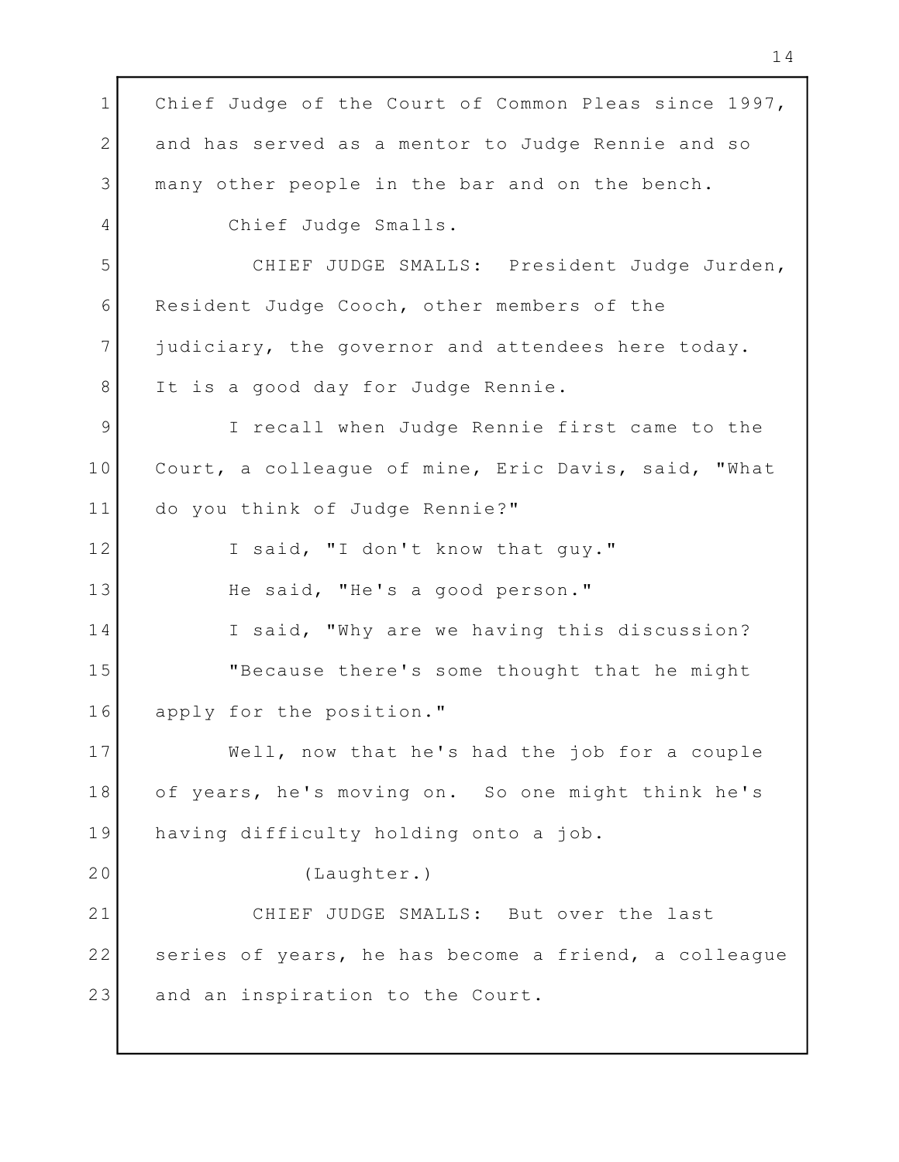1 Chief Judge of the Court of Common Pleas since 1997, I 2 and has served as a mentor to Judge Rennie and so many other people in the bar and on the bench. 3 4 Chief Judge Smalls. 5 CHIEF JUDGE SMALLS: President Judge Jurden, 6 Resident Judge Cooch, other members of the 7 judiciary, the governor and attendees here today. 8 It is a good day for Judge Rennie. I recall when Judge Rennie first came to the 9 Court, a colleague of mine, Eric Davis, said, "What 10 do you think of Judge Rennie?" 11 12 I said, "I don't know that guy." 13 The said, "He's a good person." 14 T said, "Why are we having this discussion? "Because there's some thought that he might 15 apply for the position." 16 Well, now that he's had the job for a couple 17 of years, he's moving on. So one might think he's 18 19 having difficulty holding onto a job. (Laughter.) 20 21 CHIEF JUDGE SMALLS: But over the last 22 Series of years, he has become a friend, a colleague and the section of  $\sim$ and an inspiration to the Court. 23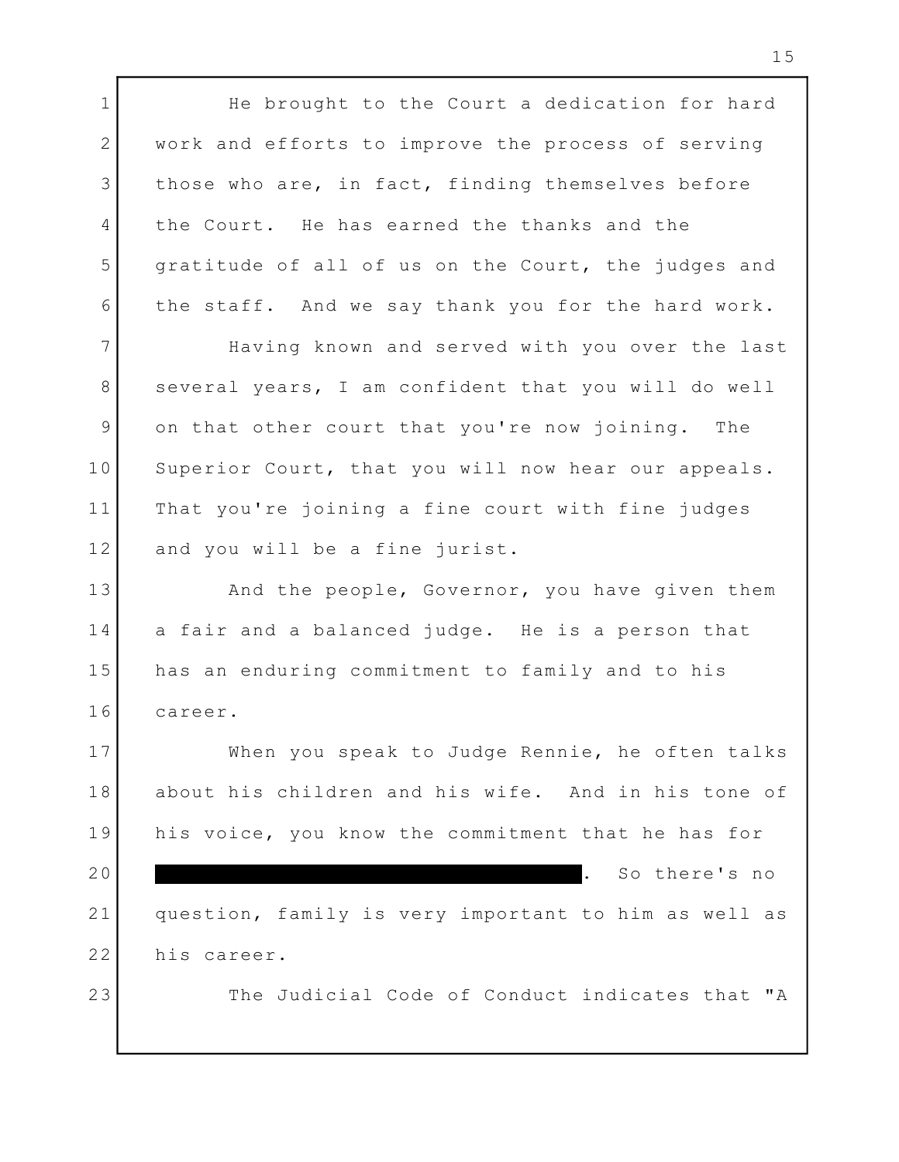1 The brought to the Court a dedication for hard 1 2 | work and efforts to improve the process of serving | 3 | those who are, in fact, finding themselves before | 4 | the Court. He has earned the thanks and the Theory 5 | gratitude of all of us on the Court, the judges and | the staff. And we say thank you for the hard work. 6 7 Baving known and served with you over the last 8 Several years, I am confident that you will do well | 9 on that other court that you're now joining. The 1 10 Superior Court, that you will now hear our appeals. 11 | That you're joining a fine court with fine judges | 12 and you will be a fine jurist. 13 and the people, Governor, you have given them 1 14 a fair and a balanced judge. He is a person that 15 has an enduring commitment to family and to his career. 16 When you speak to Judge Rennie, he often talks 17 about his children and his wife. And in his tone of 18 19 | his voice, you know the commitment that he has for | . So there's no question, family is very important to him as well as 21 22 his career. The Judicial Code of Conduct indicates that "A 20 23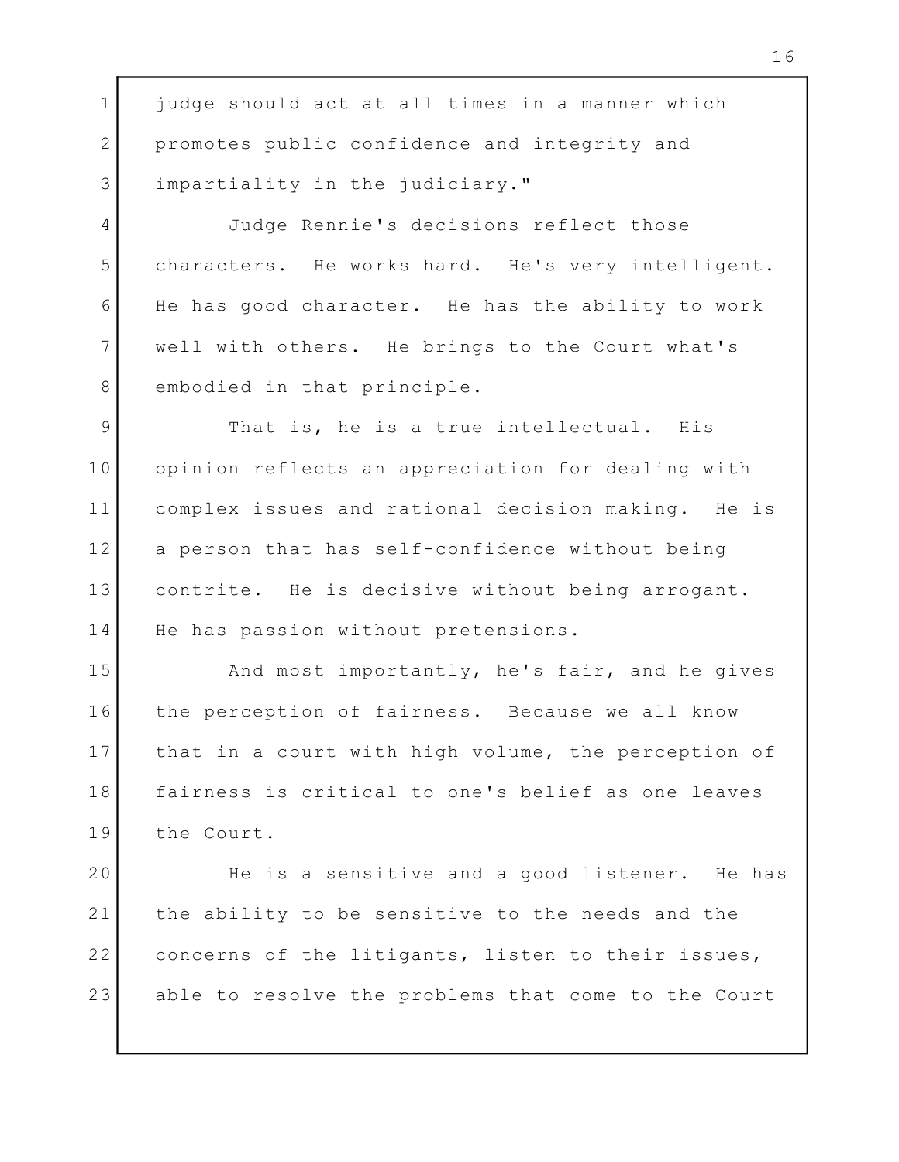1 judge should act at all times in a manner which Theory 2 promotes public confidence and integrity and impartiality in the judiciary." 3 Judge Rennie's decisions reflect those 4 characters. He works hard. He's very intelligent. 5 6 He has good character. He has the ability to work ( well with others. He brings to the Court what's 7 8 embodied in that principle. 9 That is, he is a true intellectual. His 10 | opinion reflects an appreciation for dealing with | complex issues and rational decision making. He is 11 12 a person that has self-confidence without being Theory contrite. He is decisive without being arrogant. 13 14 He has passion without pretensions. And most importantly, he's fair, and he gives 15 16 | the perception of fairness. Because we all know | 17 | that in a court with high volume, the perception of | fairness is critical to one's belief as one leaves 18 19 the Court. 20 Beis a sensitive and a good listener. He has 21 | the ability to be sensitive to the needs and the Theory 22 concerns of the litigants, listen to their issues, Theory

able to resolve the problems that come to the Court 23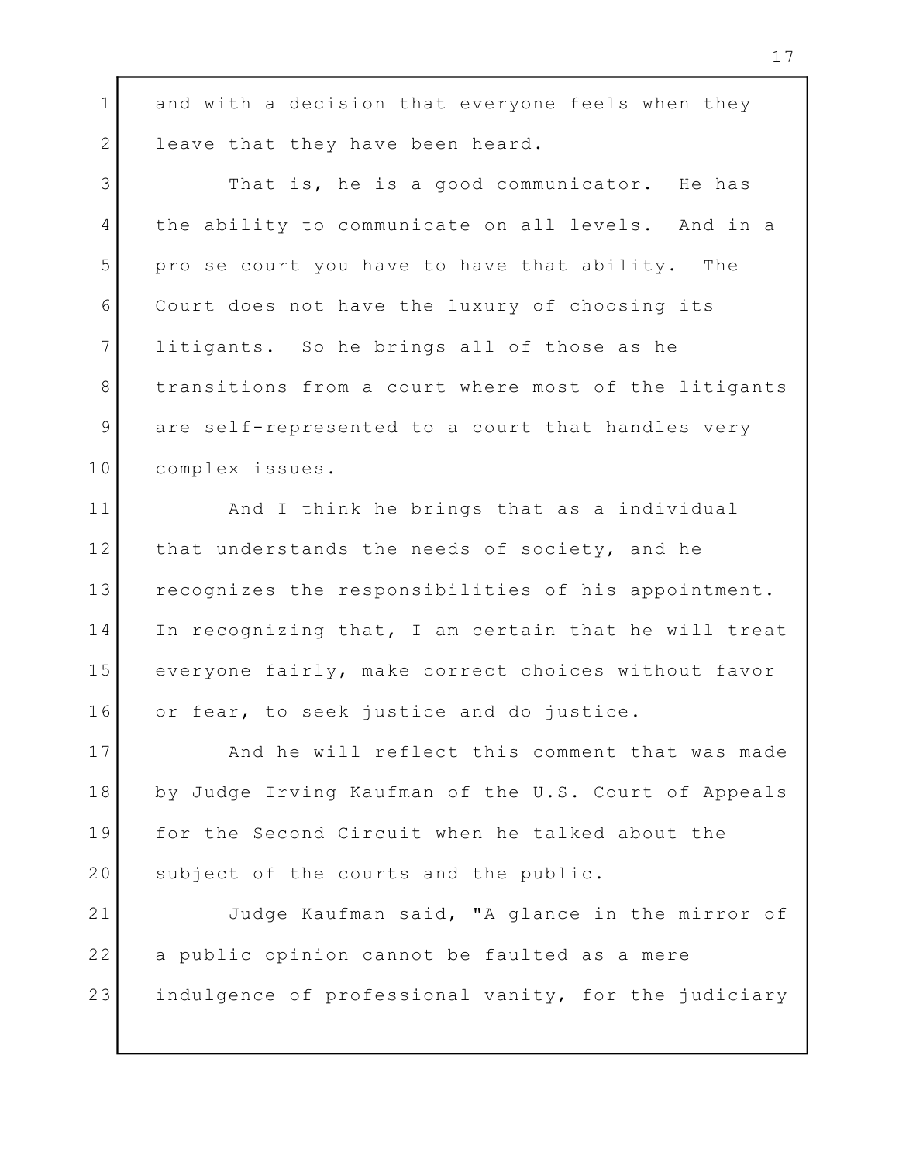1 and with a decision that everyone feels when they and 2 leave that they have been heard. 3 That is, he is a good communicator. He has 4 | the ability to communicate on all levels. And in a | pro se court you have to have that ability. The 5 Court does not have the luxury of choosing its 6 7 litigants. So he brings all of those as he 8 | transitions from a court where most of the litigants | are self-represented to a court that handles very 9 complex issues. 10 11 and I think he brings that as a individual 12 | that understands the needs of society, and he 13 | recognizes the responsibilities of his appointment. | 14 In recognizing that, I am certain that he will treat | 15 | everyone fairly, make correct choices without favor | or fear, to seek justice and do justice. 16 17 | And he will reflect this comment that was made | by Judge Irving Kaufman of the U.S. Court of Appeals 18 19 for the Second Circuit when he talked about the Theory 20 Subject of the courts and the public. Judge Kaufman said, "A glance in the mirror of 21 22 | a public opinion cannot be faulted as a mere indulgence of professional vanity, for the judiciary 23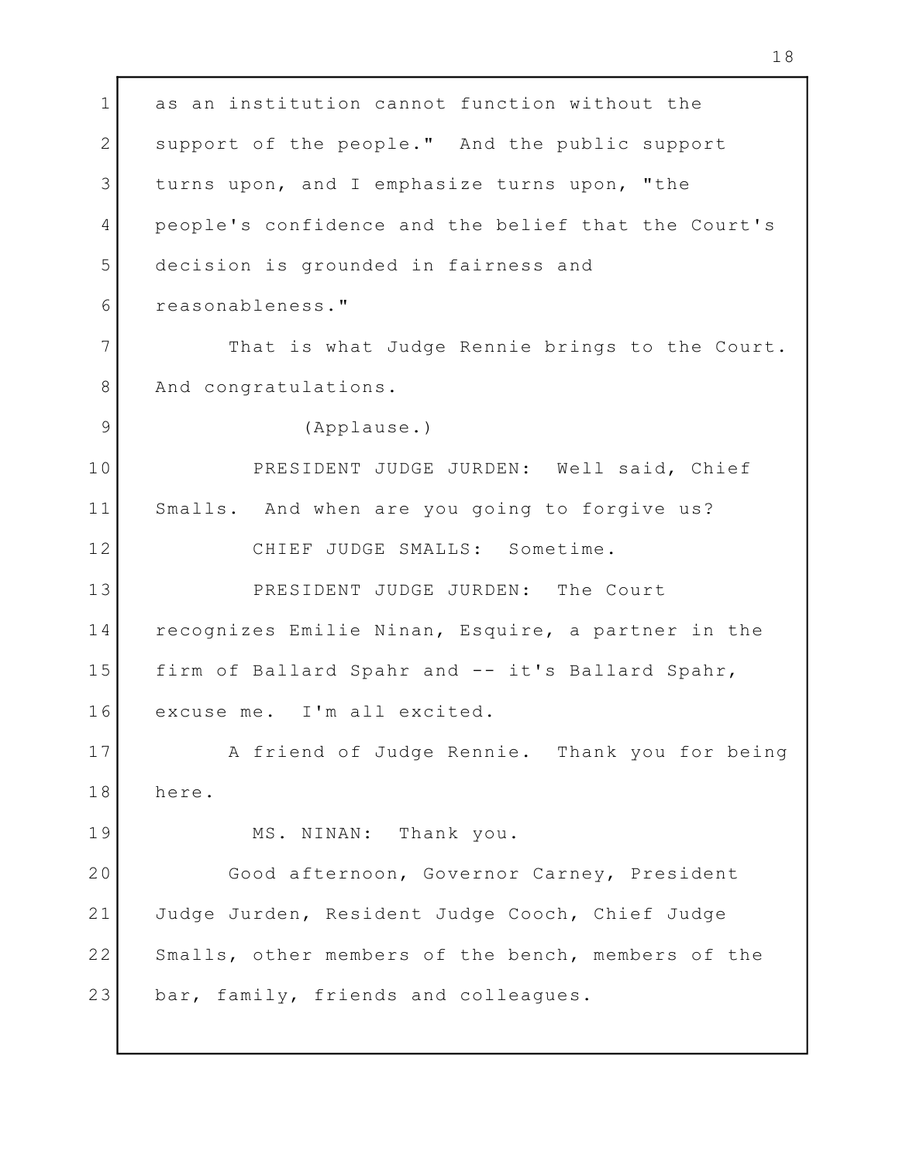1 as an institution cannot function without the Theory 2 Support of the people." And the public support 3 turns upon, and I emphasize turns upon, "the The State I and I complasize turns upon, "the 4 People's confidence and the belief that the Court's decision is grounded in fairness and 5 reasonableness." 6 7 That is what Judge Rennie brings to the Court. 8 And congratulations. (Applause.) 9 PRESIDENT JUDGE JURDEN: Well said, Chief 10 Smalls. And when are you going to forgive us? 11 12 CHIEF JUDGE SMALLS: Sometime. 13 PRESIDENT JUDGE JURDEN: The Court 14 | recognizes Emilie Ninan, Esquire, a partner in the | 15 | firm of Ballard Spahr and -- it's Ballard Spahr, 16 excuse me. I'm all excited. A friend of Judge Rennie. Thank you for being 17 18 here. MS. NINAN: Thank you. 19 20 Good afternoon, Governor Carney, President 21| Judge Jurden, Resident Judge Cooch, Chief Judge | 22 Smalls, other members of the bench, members of the bar, family, friends and colleagues. 23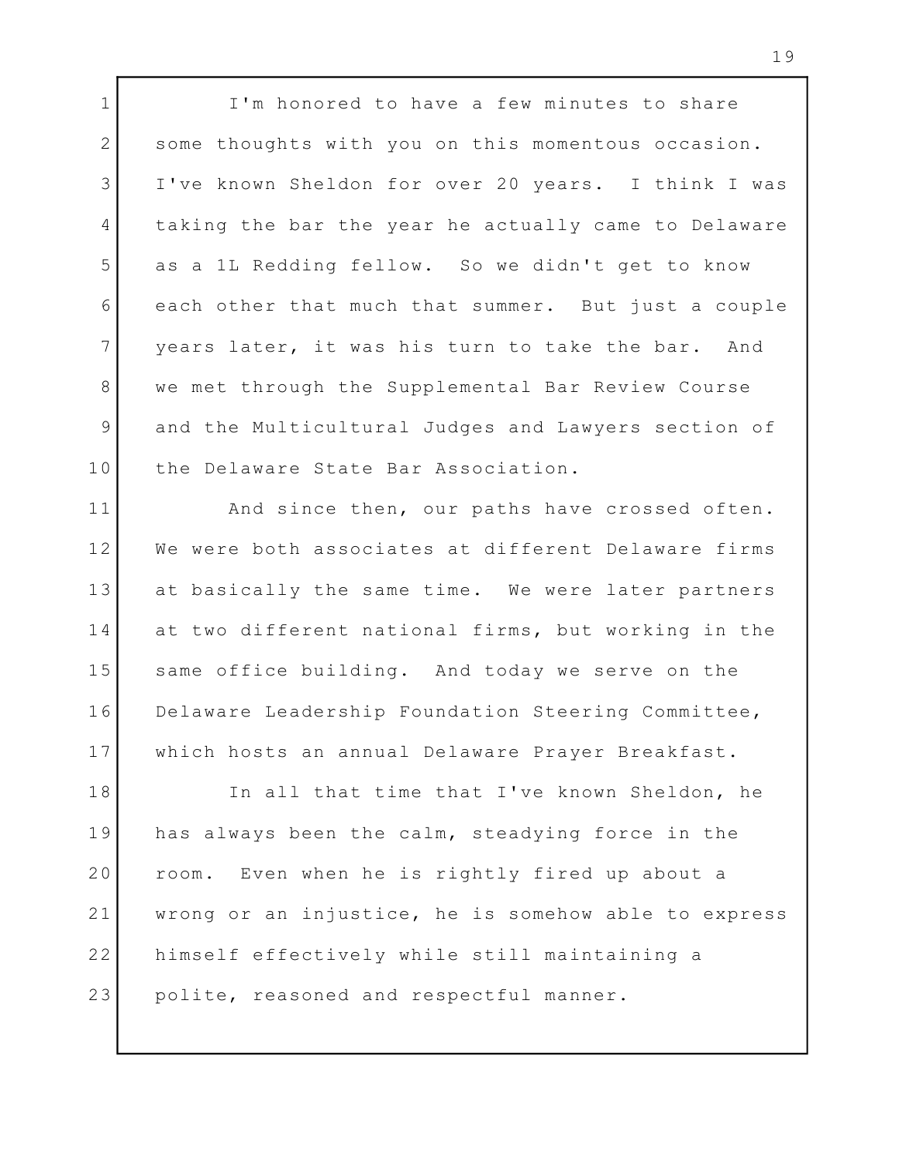1 I'm honored to have a few minutes to share 2 Some thoughts with you on this momentous occasion. I've known Sheldon for over 20 years. I think I was 3 4 | taking the bar the year he actually came to Delaware | as a 1L Redding fellow. So we didn't get to know 5 each other that much that summer. But just a couple 6 7 years later, it was his turn to take the bar. And we met through the Supplemental Bar Review Course 8 and the Multicultural Judges and Lawyers section of 9 10 the Delaware State Bar Association.

11 and since then, our paths have crossed often. We were both associates at different Delaware firms 12 at basically the same time. We were later partners 13 14 at two different national firms, but working in the I 15 Same office building. And today we serve on the 16 Delaware Leadership Foundation Steering Committee, which hosts an annual Delaware Prayer Breakfast. 17

18 In all that time that I've known Sheldon, he 19 has always been the calm, steadying force in the The the calm 20 | room. Even when he is rightly fired up about a wrong or an injustice, he is somehow able to express 21 22 | himself effectively while still maintaining a polite, reasoned and respectful manner. 23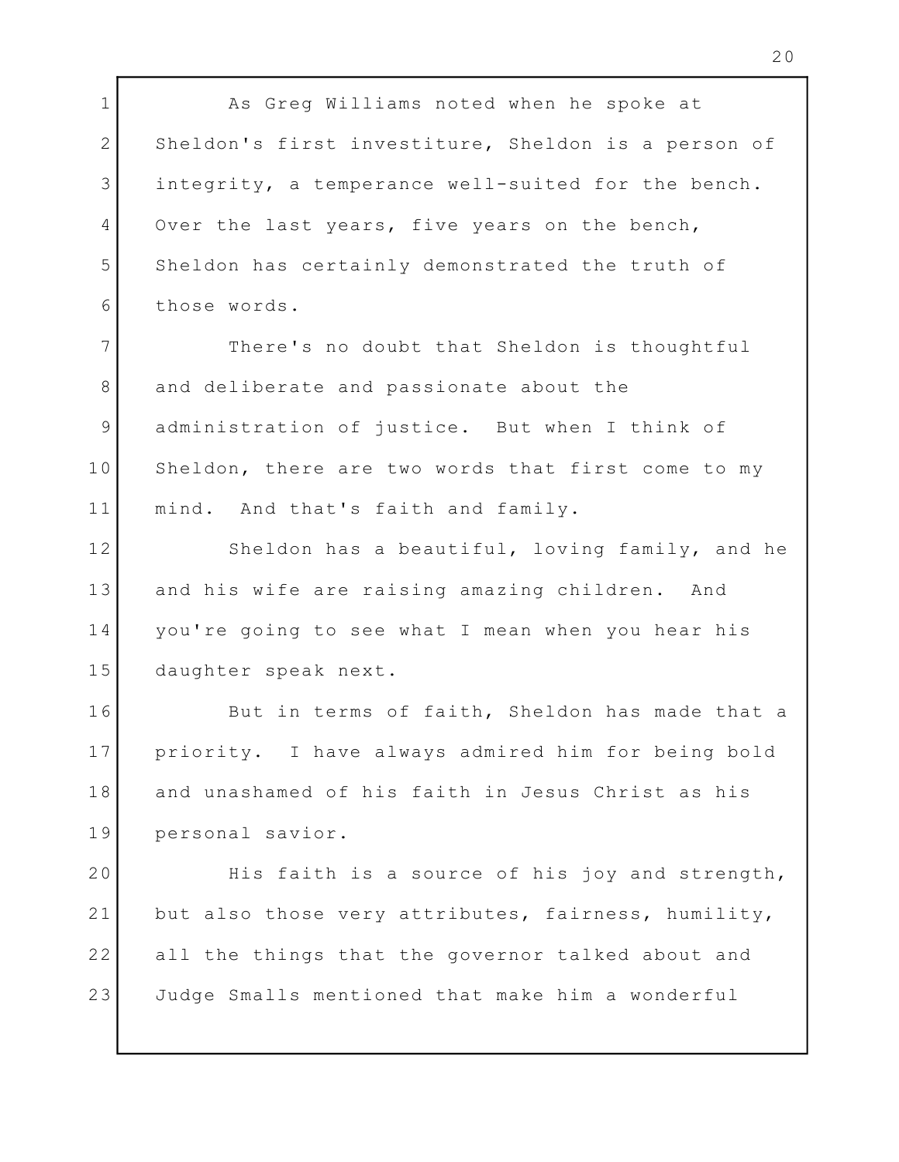1 as Greg Williams noted when he spoke at 2 Sheldon's first investiture, Sheldon is a person of 3 integrity, a temperance well-suited for the bench. 4 Over the last years, five years on the bench, 5 Sheldon has certainly demonstrated the truth of those words. 6 There's no doubt that Sheldon is thoughtful 7 8 and deliberate and passionate about the standard and  $\vert$ 9 administration of justice. But when I think of 10 Sheldon, there are two words that first come to my 11 | mind. And that's faith and family. 12 Sheldon has a beautiful, loving family, and he 13 and his wife are raising amazing children. And you're going to see what I mean when you hear his 14 daughter speak next. 15 16 But in terms of faith, Sheldon has made that a 17 | priority. I have always admired him for being bold | and unashamed of his faith in Jesus Christ as his 18 personal savior. 19 20 His faith is a source of his joy and strength, and 21 but also those very attributes, fairness, humility, I all the things that the governor talked about and 22 Judge Smalls mentioned that make him a wonderful 23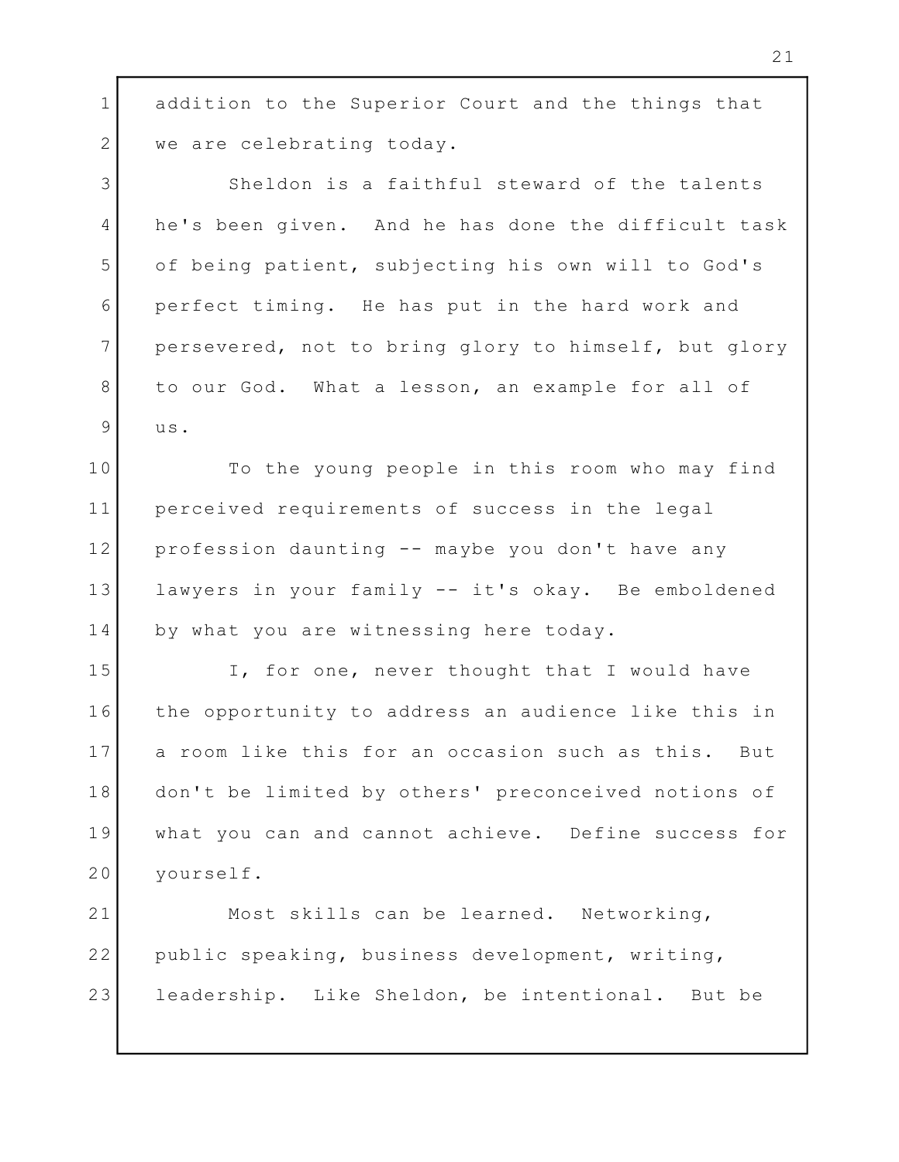1 addition to the Superior Court and the things that | 2 we are celebrating today.

3 Sheldon is a faithful steward of the talents 4 he's been given. And he has done the difficult task | of being patient, subjecting his own will to God's 5 perfect timing. He has put in the hard work and 6 persevered, not to bring glory to himself, but glory 7 to our God. What a lesson, an example for all of 8 us.  $9$  us.

10 To the young people in this room who may find perceived requirements of success in the legal 11 profession daunting -- maybe you don't have any 12 lawyers in your family -- it's okay. Be emboldened 13 by what you are witnessing here today. 14

15 T, for one, never thought that I would have 16 | the opportunity to address an audience like this in | 17 a room like this for an occasion such as this. But | don't be limited by others' preconceived notions of 18 what you can and cannot achieve. Define success for 19 yourself. 20

21 Most skills can be learned. Networking, 22 | public speaking, business development, writing, Theory leadership. Like Sheldon, be intentional. But be 23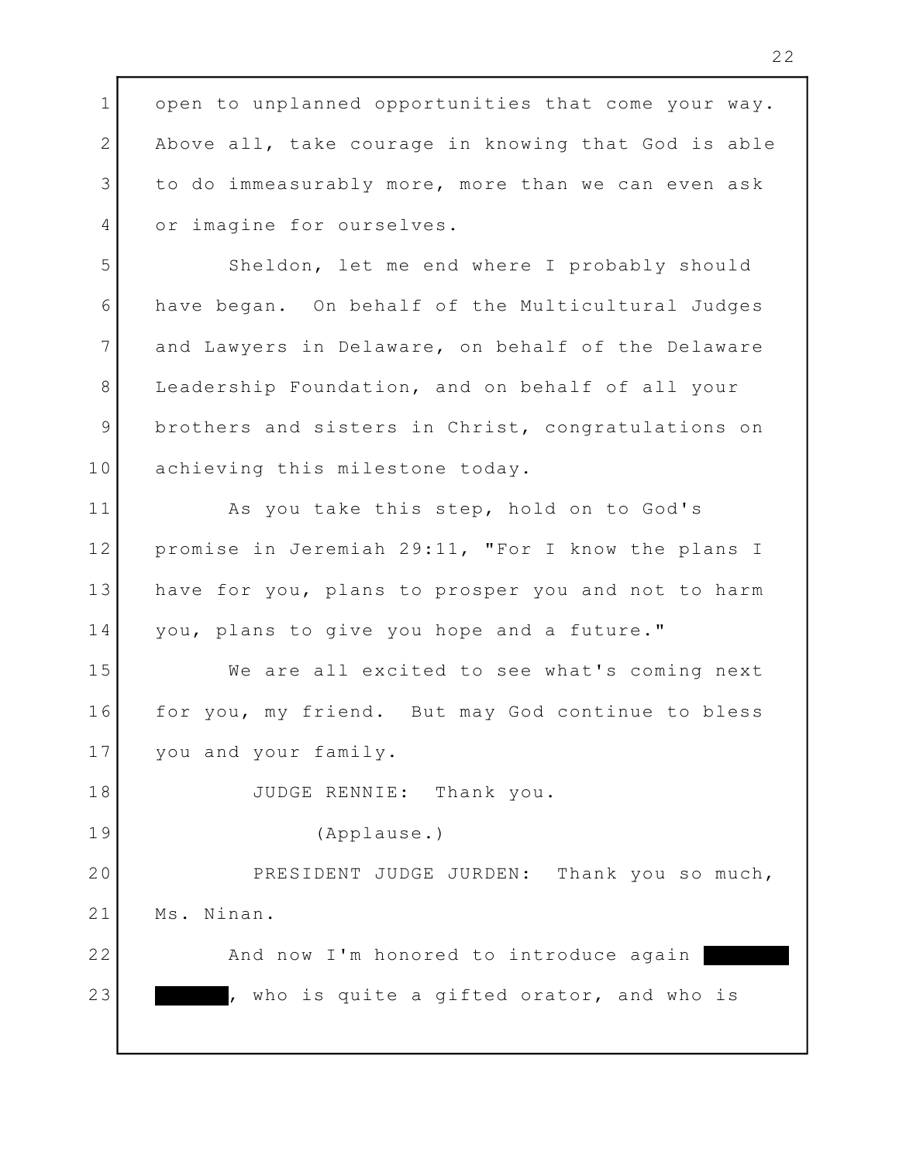1 open to unplanned opportunities that come your way. | 2 | Above all, take courage in knowing that God is able 3 to do immeasurably more, more than we can even ask ( 4 or imagine for ourselves. 5 Sheldon, let me end where I probably should have began. On behalf of the Multicultural Judges 6 and Lawyers in Delaware, on behalf of the Delaware 7 8 Leadership Foundation, and on behalf of all your 9 brothers and sisters in Christ, congratulations on ( 10 achieving this milestone today. 11 as you take this step, hold on to God's promise in Jeremiah 29:11, "For I know the plans I 12 13 | have for you, plans to prosper you and not to harm | you, plans to give you hope and a future." 14 We are all excited to see what's coming next 15 16 for you, my friend. But may God continue to bless ( you and your family. 17 JUDGE RENNIE: Thank you. 18 (Applause.) 19 20 PRESIDENT JUDGE JURDEN: Thank you so much, 21 Ms. Ninan. 22 And now I'm honored to introduce again , who is quite a gifted orator, and who is 23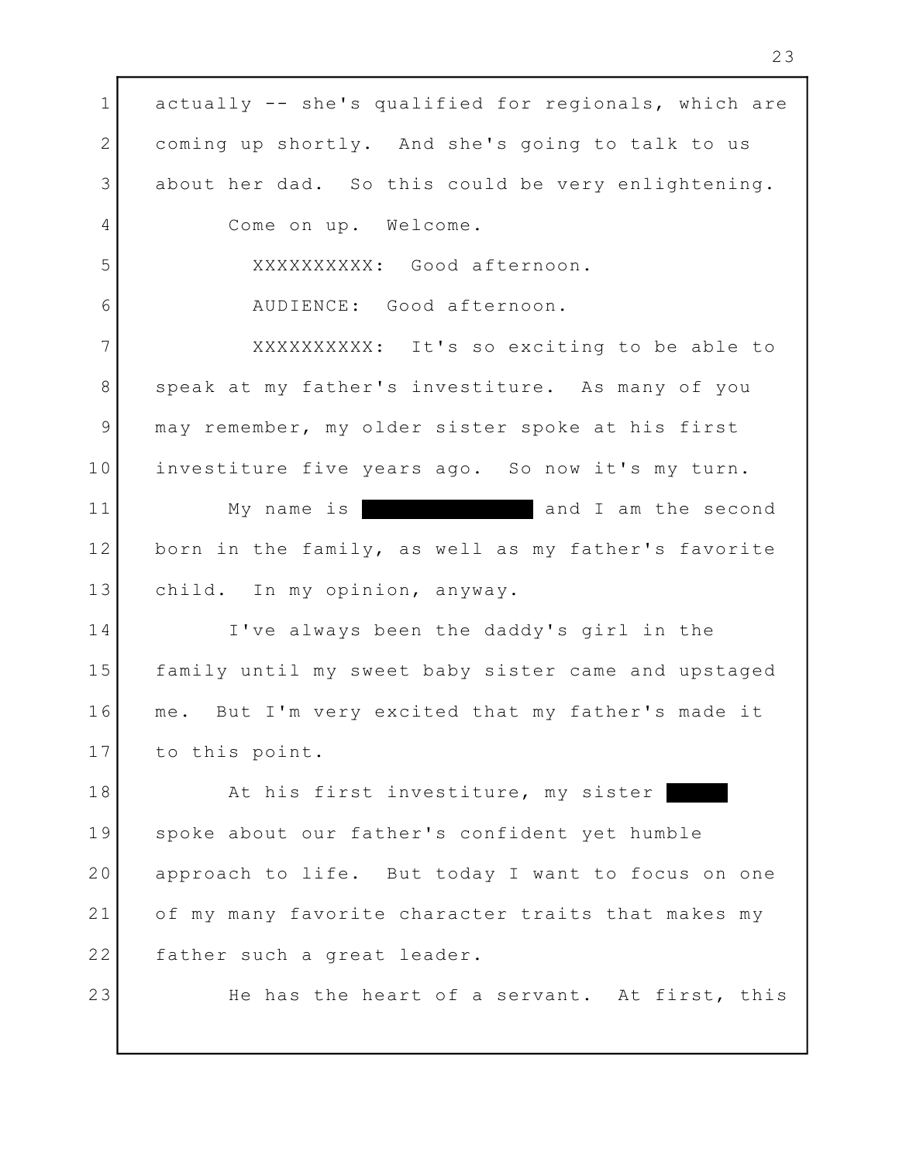1 actually -- she's qualified for regionals, which are | 2 coming up shortly. And she's going to talk to us about her dad. So this could be very enlightening. 3 4 Come on up. Welcome. XXXXXXXXXX: Good afternoon. 5 AUDIENCE: Good afternoon. 6 7 | XXXXXXXXXXX: It's so exciting to be able to 8 Speak at my father's investiture. As many of you may remember, my older sister spoke at his first 9 investiture five years ago. So now it's my turn. 10 and I am the second born in the family, as well as my father's favorite 12 child. In my opinion, anyway. 13 I've always been the daddy's girl in the 14 15 | family until my sweet baby sister came and upstaged | me. But I'm very excited that my father's made it 16 17 to this point. 18 The At his first investiture, my sister the contract of the At his first investiture, my sister spoke about our father's confident yet humble 19 approach to life. But today I want to focus on one 20 of my many favorite character traits that makes my 21 22 | father such a great leader. He has the heart of a servant. At first, this 11 My name is 23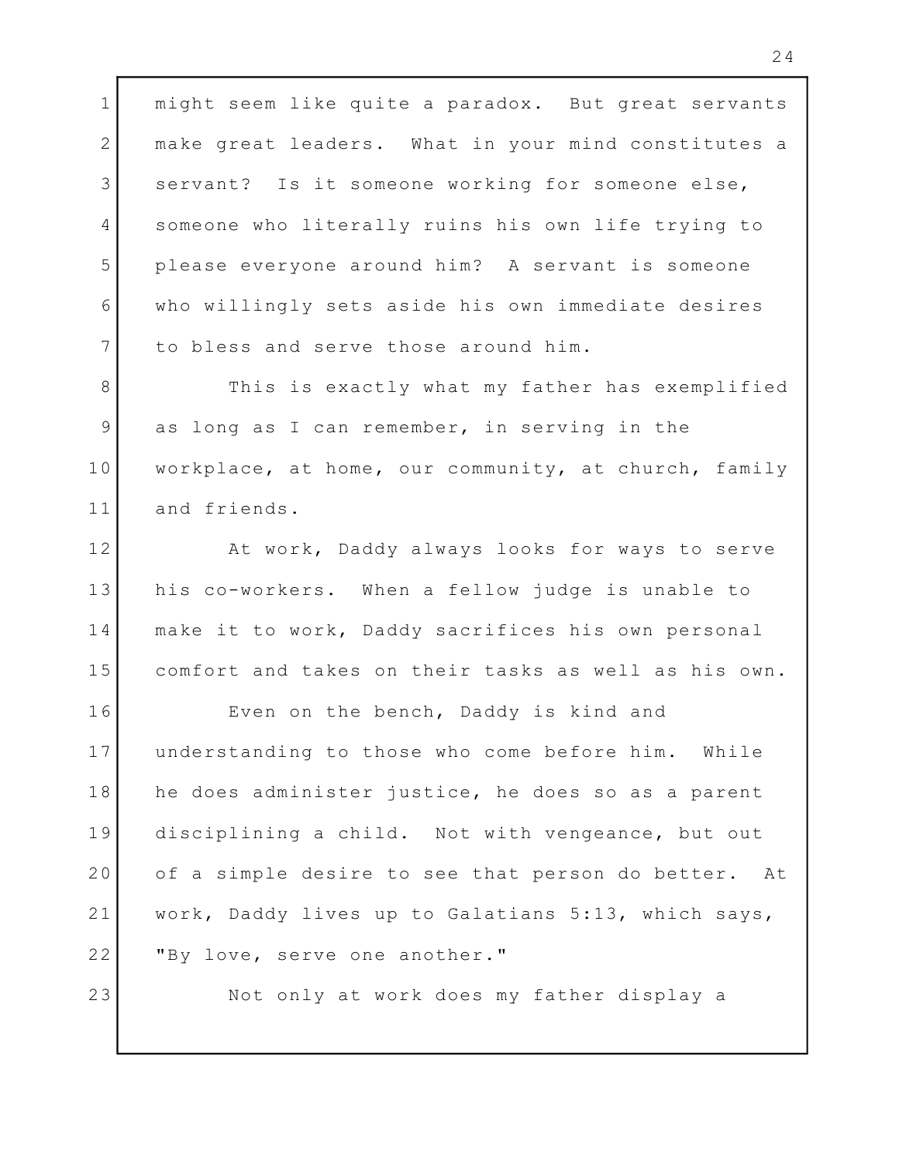might seem like quite a paradox. But great servants make great leaders. What in your mind constitutes a 3 Servant? Is it someone working for someone else, 4 Someone who literally ruins his own life trying to the leads of please everyone around him? A servant is someone who willingly sets aside his own immediate desires to bless and serve those around him.

8 This is exactly what my father has exemplified 9 as long as I can remember, in serving in the Theory workplace, at home, our community, at church, family and friends.

At work, Daddy always looks for ways to serve 13 | his co-workers. When a fellow judge is unable to Theory make it to work, Daddy sacrifices his own personal comfort and takes on their tasks as well as his own.

16 Byen on the bench, Daddy is kind and understanding to those who come before him. While 18 | he does administer justice, he does so as a parent | 19 disciplining a child. Not with vengeance, but out | of a simple desire to see that person do better. At work, Daddy lives up to Galatians 5:13, which says, "By love, serve one another."

Not only at work does my father display a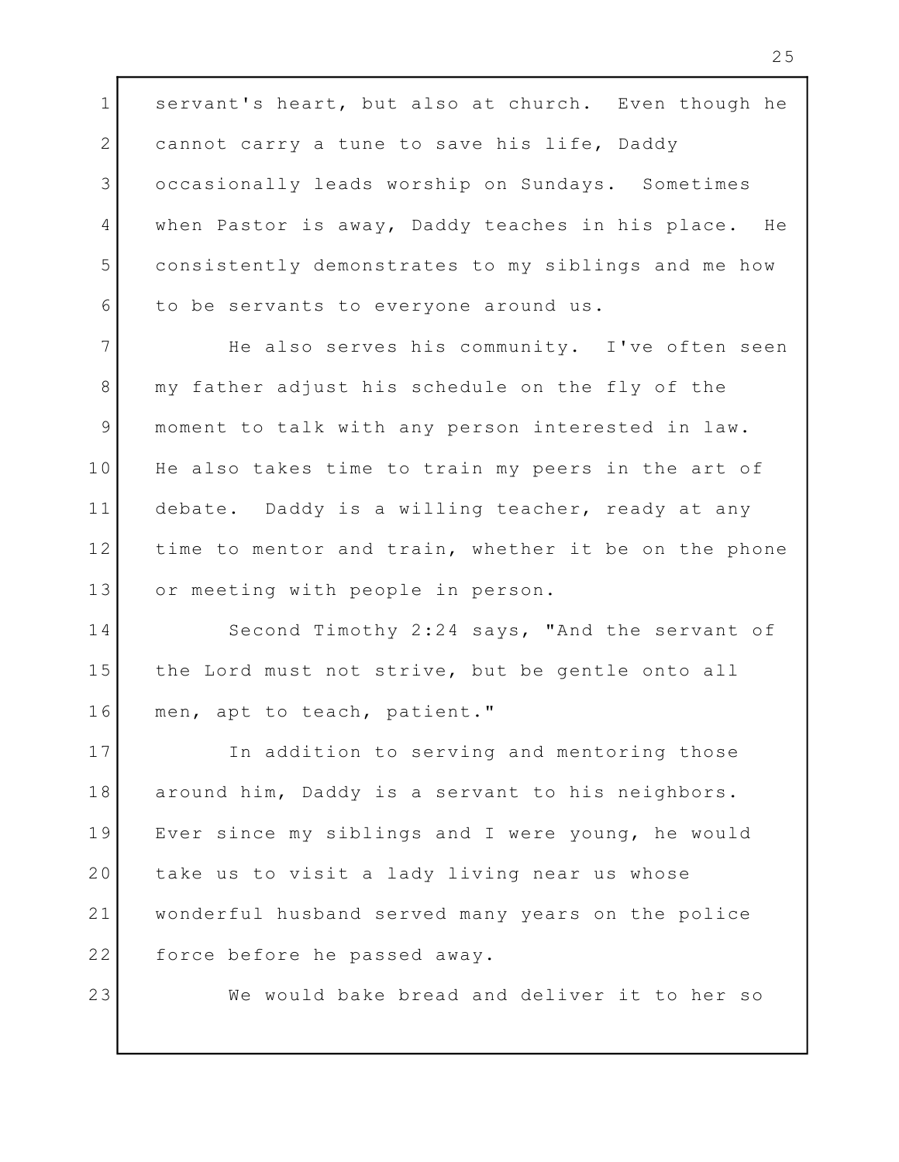1 servant's heart, but also at church. Even though he 2 cannot carry a tune to save his life, Daddy occasionally leads worship on Sundays. Sometimes 3 4 | when Pastor is away, Daddy teaches in his place. He | consistently demonstrates to my siblings and me how 5 to be servants to everyone around us. 6

7 The also serves his community. I've often seen 8 | my father adjust his schedule on the fly of the moment to talk with any person interested in law. 9 10 He also takes time to train my peers in the art of [100] debate. Daddy is a willing teacher, ready at any 11 12 | time to mentor and train, whether it be on the phone | or meeting with people in person. 13

14 Second Timothy 2:24 says, "And the servant of 15 | the Lord must not strive, but be gentle onto all men, apt to teach, patient." 16

17 The addition to serving and mentoring those around him, Daddy is a servant to his neighbors. 18 Ever since my siblings and I were young, he would 19 take us to visit a lady living near us whose 20 wonderful husband served many years on the police 21 22 force before he passed away.

23

We would bake bread and deliver it to her so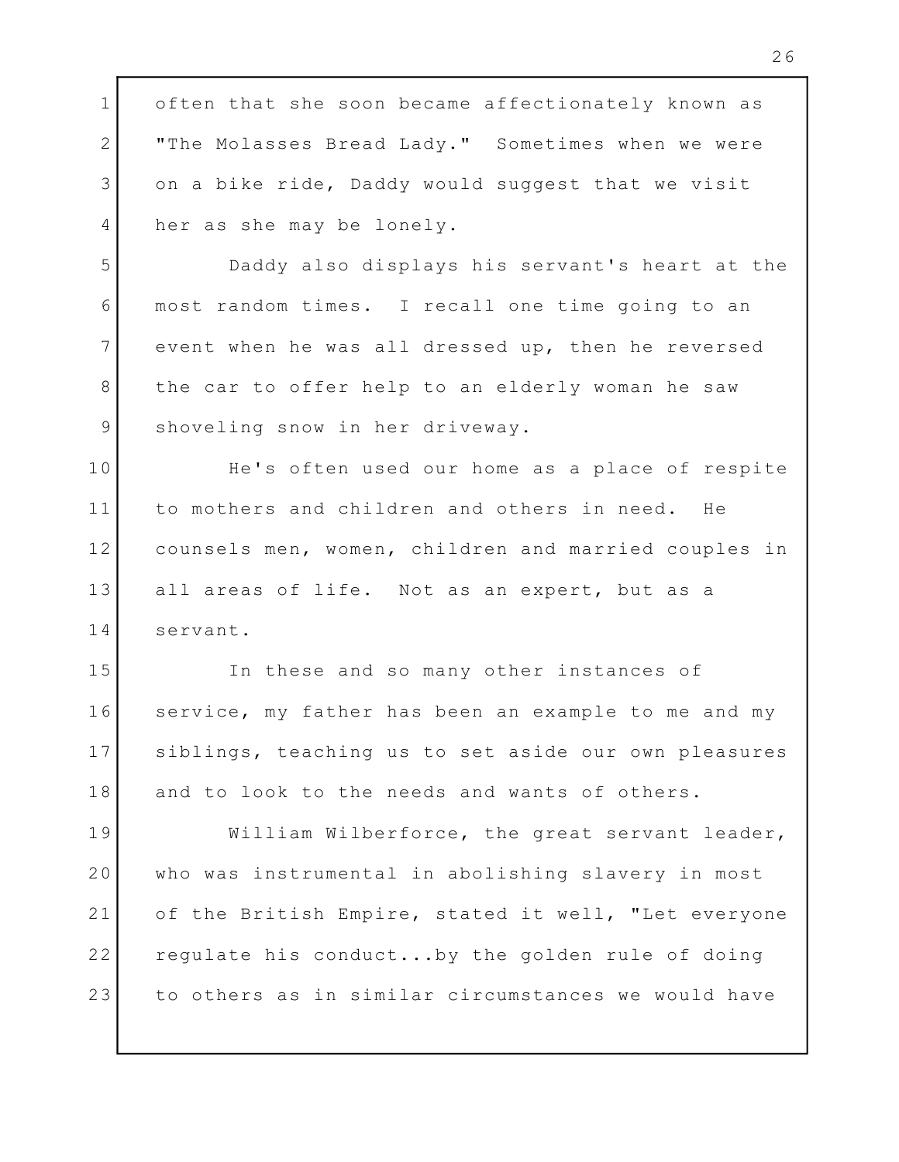1 often that she soon became affectionately known as 2 | "The Molasses Bread Lady." Sometimes when we were | 3 on a bike ride, Daddy would suggest that we visit 4 her as she may be lonely. Daddy also displays his servant's heart at the 5 most random times. I recall one time going to an 6 7 event when he was all dressed up, then he reversed | 8 | the car to offer help to an elderly woman he saw 9 Shoveling snow in her driveway. 10 The's often used our home as a place of respite that is a set of respite that is a set of respite 11 to mothers and children and others in need. He counsels men, women, children and married couples in 12 13 all areas of life. Not as an expert, but as a servant. 14 In these and so many other instances of 15 16 Service, my father has been an example to me and my 17 Siblings, teaching us to set aside our own pleasures | 18 and to look to the needs and wants of others. 19 | William Wilberforce, the great servant leader, |

who was instrumental in abolishing slavery in most 20 of the British Empire, stated it well, "Let everyone 21 22 | regulate his conduct...by the golden rule of doing | to others as in similar circumstances we would have 23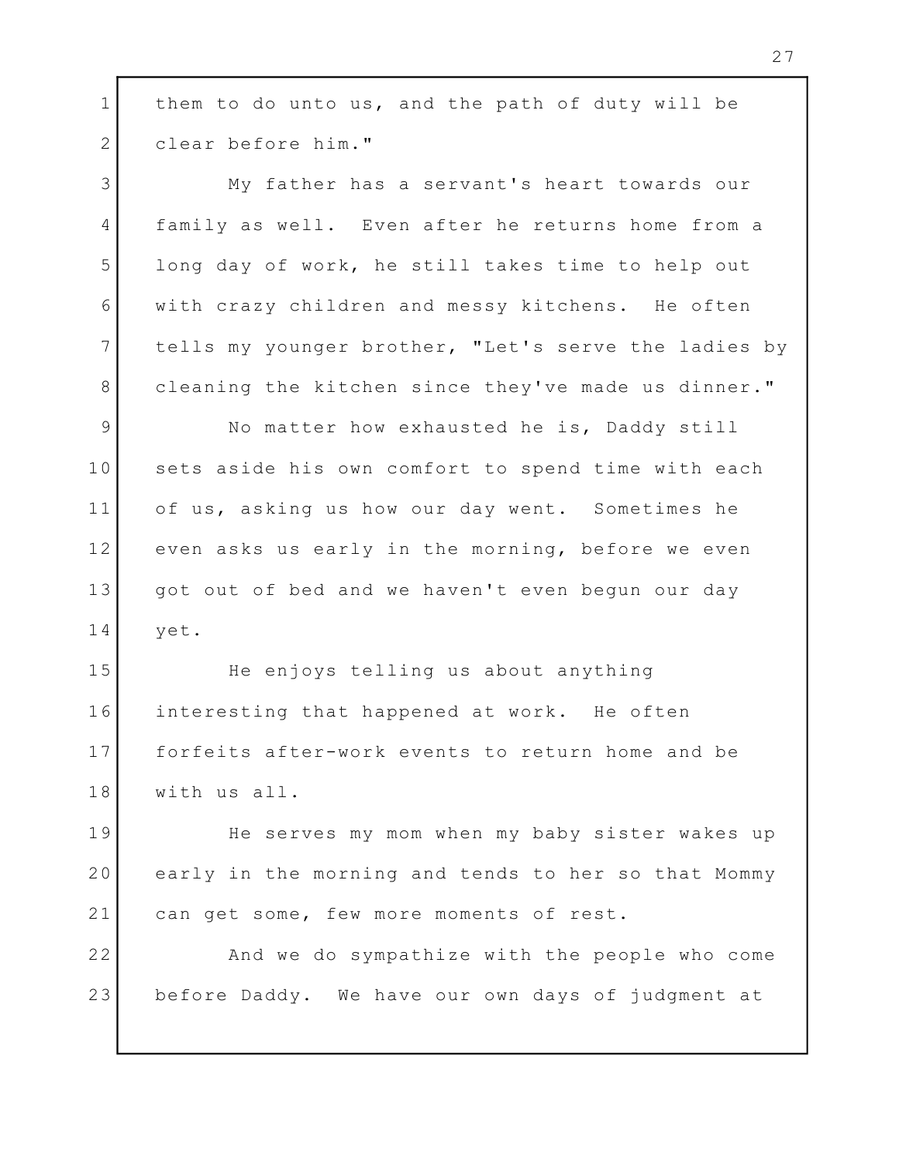1 | them to do unto us, and the path of duty will be clear before him." 2 My father has a servant's heart towards our 3 4 | family as well. Even after he returns home from a 5 long day of work, he still takes time to help out with crazy children and messy kitchens. He often 6 tells my younger brother, "Let's serve the ladies by 7 cleaning the kitchen since they've made us dinner." 8 9 No matter how exhausted he is, Daddy still 10 Sets aside his own comfort to spend time with each and the set of the set of the set of the set o of us, asking us how our day went. Sometimes he 11 12 even asks us early in the morning, before we even 13 | got out of bed and we haven't even begun our day | yet. 14 15 The enjoys telling us about anything interesting that happened at work. He often 16 17 | forfeits after-work events to return home and be with us all. 18 19 The serves my mom when my baby sister wakes up 20 | early in the morning and tends to her so that Mommy | 21 can get some, few more moments of rest. 22 | And we do sympathize with the people who come before Daddy. We have our own days of judgment at 23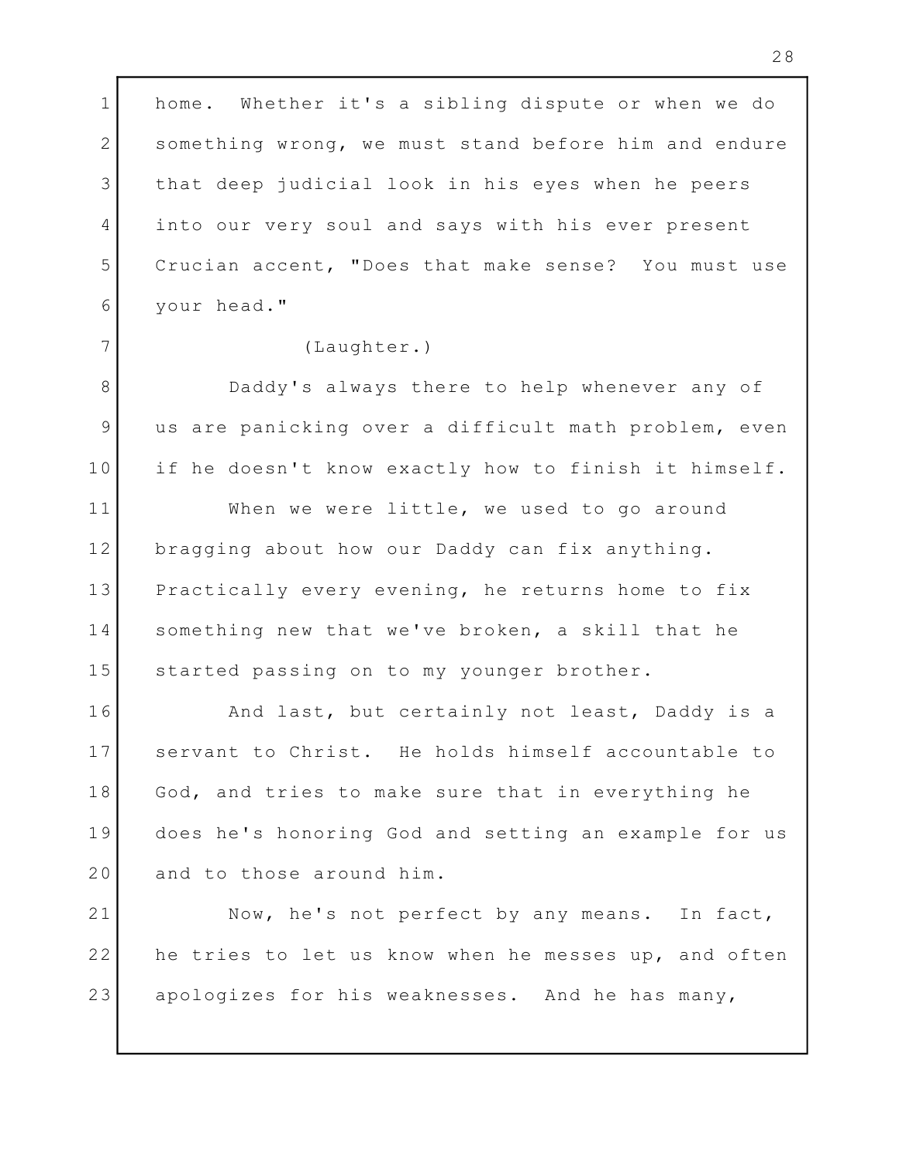1 | home. Whether it's a sibling dispute or when we do | 2 Something wrong, we must stand before him and endure | 3 | that deep judicial look in his eyes when he peers | 4 into our very soul and says with his ever present ( Crucian accent, "Does that make sense? You must use 5 your head." 6

## (Laughter.) 7

8 Daddy's always there to help whenever any of 9 | us are panicking over a difficult math problem, even | if he doesn't know exactly how to finish it himself. 10

When we were little, we used to go around 11 bragging about how our Daddy can fix anything. 12 13 Practically every evening, he returns home to fix 14 Something new that we've broken, a skill that he 15 Started passing on to my younger brother.

16 The And last, but certainly not least, Daddy is a servant to Christ. He holds himself accountable to 17 18 God, and tries to make sure that in everything he Theody does he's honoring God and setting an example for us 19 20 and to those around him.

21 Now, he's not perfect by any means. In fact,  $\vert$ 22 | he tries to let us know when he messes up, and often | apologizes for his weaknesses. And he has many, 23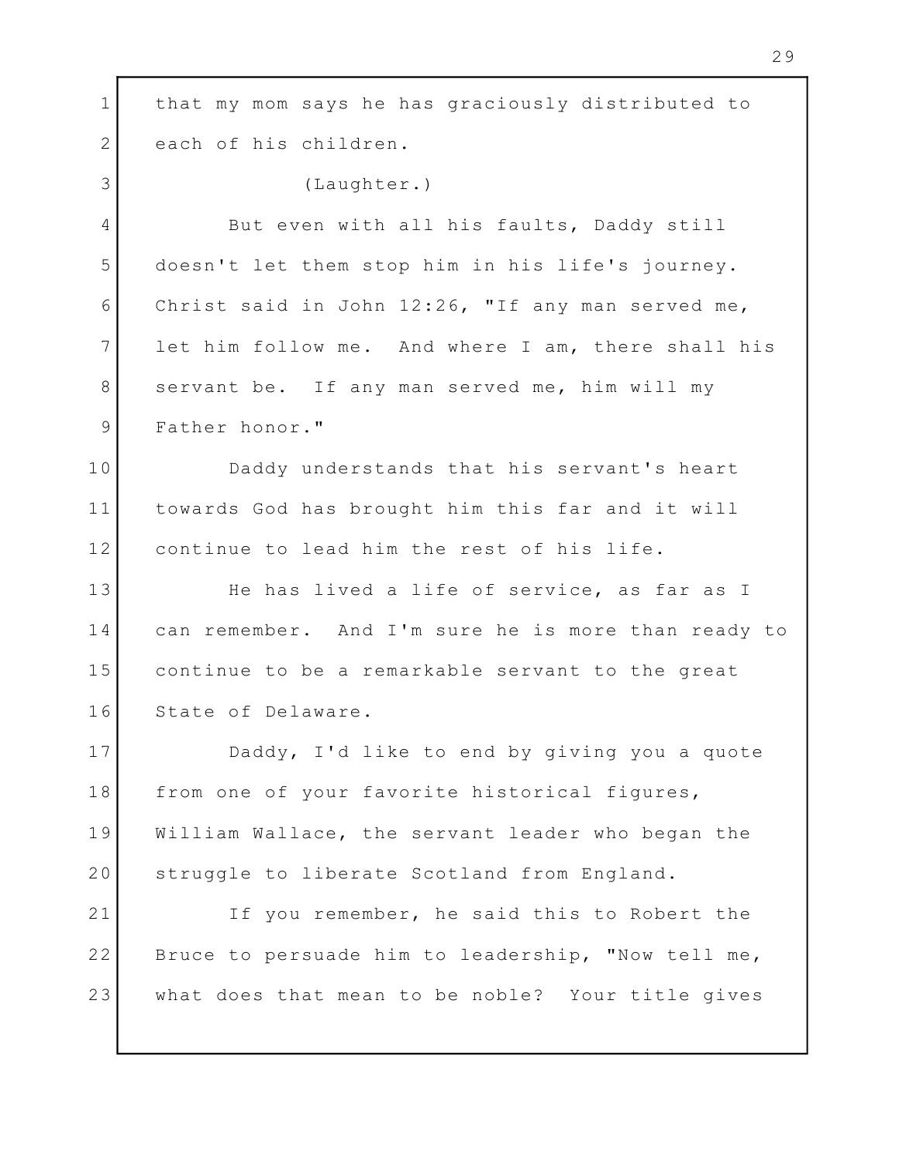1 | that my mom says he has graciously distributed to | 2 each of his children. 3 (Laughter.) 4 But even with all his faults, Daddy still doesn't let them stop him in his life's journey. 5 Christ said in John 12:26, "If any man served me, 6 7 let him follow me. And where I am, there shall his 8 Servant be. If any man served me, him will my 9 Father honor." Daddy understands that his servant's heart 10 11 | towards God has brought him this far and it will | continue to lead him the rest of his life. 12 13 The has lived a life of service, as far as I can remember. And I'm sure he is more than ready to 14 continue to be a remarkable servant to the great 15 16 State of Delaware. Daddy, I'd like to end by giving you a quote 17 18 | from one of your favorite historical figures, William Wallace, the servant leader who began the 19 20 Struggle to liberate Scotland from England. 21 Tf you remember, he said this to Robert the 22 Bruce to persuade him to leadership, "Now tell me, I what does that mean to be noble? Your title gives 23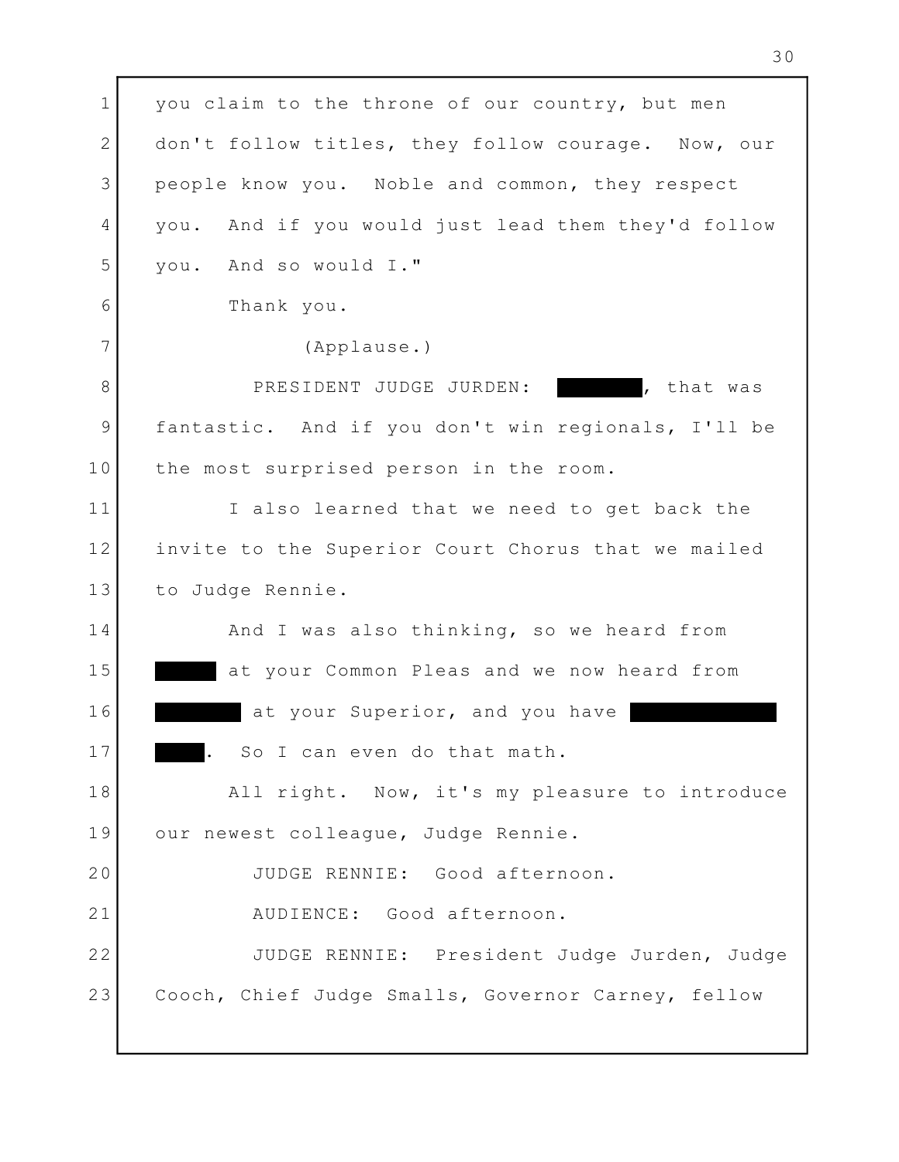1 you claim to the throne of our country, but men 2 don't follow titles, they follow courage. Now, our | 3 People know you. Noble and common, they respect 4 you. And if you would just lead them they'd follow | you. And so would I." 5 Thank you. 6 (Applause.) 7 8 PRESIDENT JUDGE JURDEN: That was fantastic. And if you don't win regionals, I'll be 9 10 the most surprised person in the room. 11 Talso learned that we need to get back the 12 | invite to the Superior Court Chorus that we mailed | 13 to Judge Rennie. 14 and I was also thinking, so we heard from at your Common Pleas and we now heard from 15 16 at your Superior, and you have . So I can even do that math. 17 All right. Now, it's my pleasure to introduce 18 our newest colleague, Judge Rennie. 19 JUDGE RENNIE: Good afternoon. 20 AUDIENCE: Good afternoon. 21 22| JUDGE RENNIE: President Judge Jurden, Judge | Cooch, Chief Judge Smalls, Governor Carney, fellow 23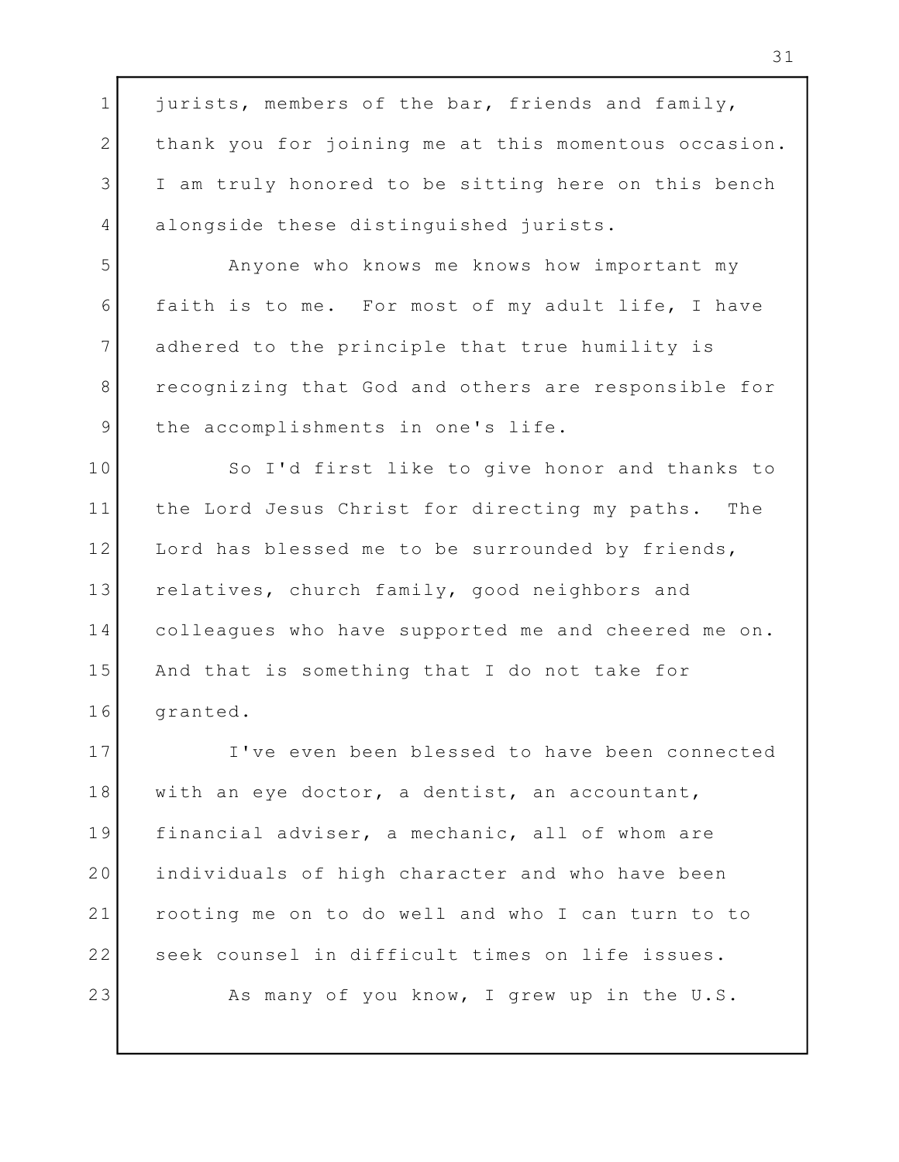1 jurists, members of the bar, friends and family, Theory 2 | thank you for joining me at this momentous occasion. | 3 I am truly honored to be sitting here on this bench I alongside these distinguished jurists. 4 Anyone who knows me knows how important my 5 6 faith is to me. For most of my adult life, I have I adhered to the principle that true humility is 7 8 | recognizing that God and others are responsible for | the accomplishments in one's life. 9 10 So I'd first like to give honor and thanks to  $\vert$ 11 | the Lord Jesus Christ for directing my paths. The | 12 Lord has blessed me to be surrounded by friends, 13 | relatives, church family, good neighbors and colleagues who have supported me and cheered me on. 14 15 | And that is something that I do not take for granted. 16 I've even been blessed to have been connected 17 18 | with an eye doctor, a dentist, an accountant, 19 | financial adviser, a mechanic, all of whom are individuals of high character and who have been 20 21 | rooting me on to do well and who I can turn to to | 22 Seek counsel in difficult times on life issues. As many of you know, I grew up in the U.S. 23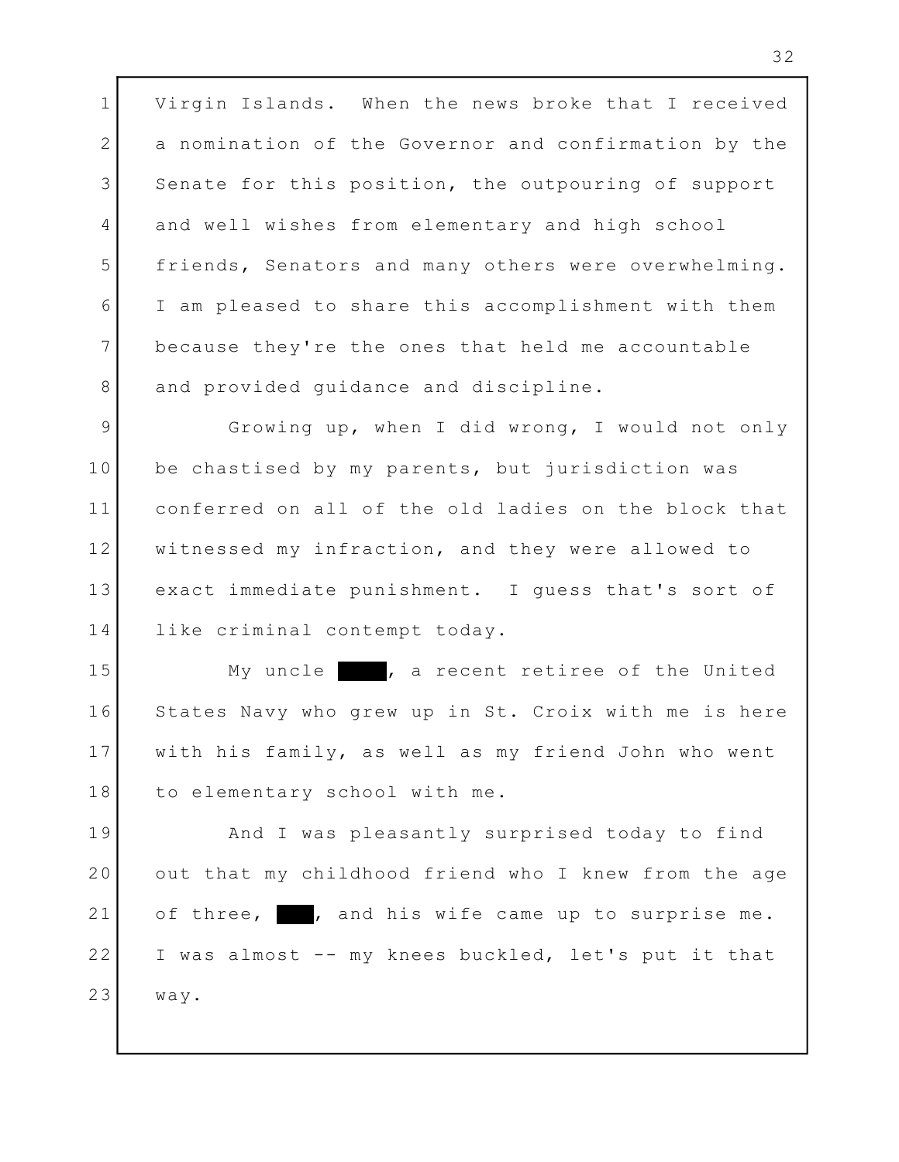Virgin Islands. When the news broke that I received 1 2 a nomination of the Governor and confirmation by the and the state of the state of the state of the state of 3 Senate for this position, the outpouring of support | and well wishes from elementary and high school 4 5 | friends, Senators and many others were overwhelming. | I am pleased to share this accomplishment with them 6 because they're the ones that held me accountable 7 8 and provided guidance and discipline.

9 Growing up, when I did wrong, I would not only be chastised by my parents, but jurisdiction was 10 conferred on all of the old ladies on the block that 11 12 | witnessed my infraction, and they were allowed to | 13 | exact immediate punishment. I guess that's sort of | 14 | like criminal contempt today.

15 My uncle , a recent retiree of the United 16 States Navy who grew up in St. Croix with me is here | 17 | with his family, as well as my friend John who went | 18 to elementary school with me.

19 Rnd I was pleasantly surprised today to find 20 out that my childhood friend who I knew from the age and the state out that my 21 of three, , and his wife came up to surprise me. 22 | I was almost -- my knees buckled, let's put it that | way. 23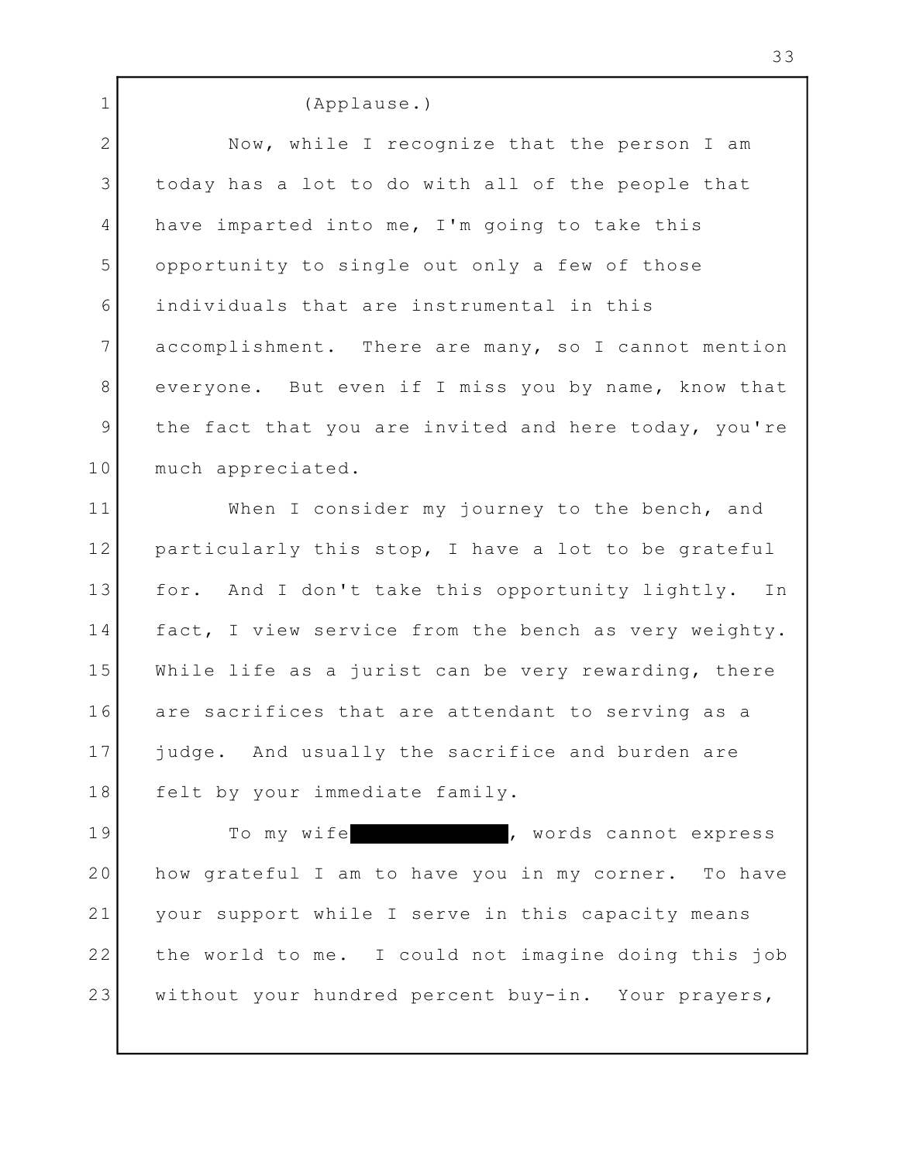(Applause.) 1 2 Now, while I recognize that the person I am 3 | today has a lot to do with all of the people that | 4 have imparted into me, I'm going to take this opportunity to single out only a few of those 5 individuals that are instrumental in this 6 accomplishment. There are many, so I cannot mention 7 8 everyone. But even if I miss you by name, know that 9 | the fact that you are invited and here today, you're | 10 much appreciated. 11 When I consider my journey to the bench, and 12 | particularly this stop, I have a lot to be grateful | 13 | for. And I don't take this opportunity lightly. In | 14 | fact, I view service from the bench as very weighty. | While life as a jurist can be very rewarding, there 15 are sacrifices that are attendant to serving as a 16 17 judge. And usually the sacrifice and burden are  $\qquad$ 18 felt by your immediate family. , words cannot express 19 To my wife

20 | how grateful I am to have you in my corner. To have | 21 | your support while I serve in this capacity means | 22 | the world to me. I could not imagine doing this job | without your hundred percent buy-in. Your prayers, 23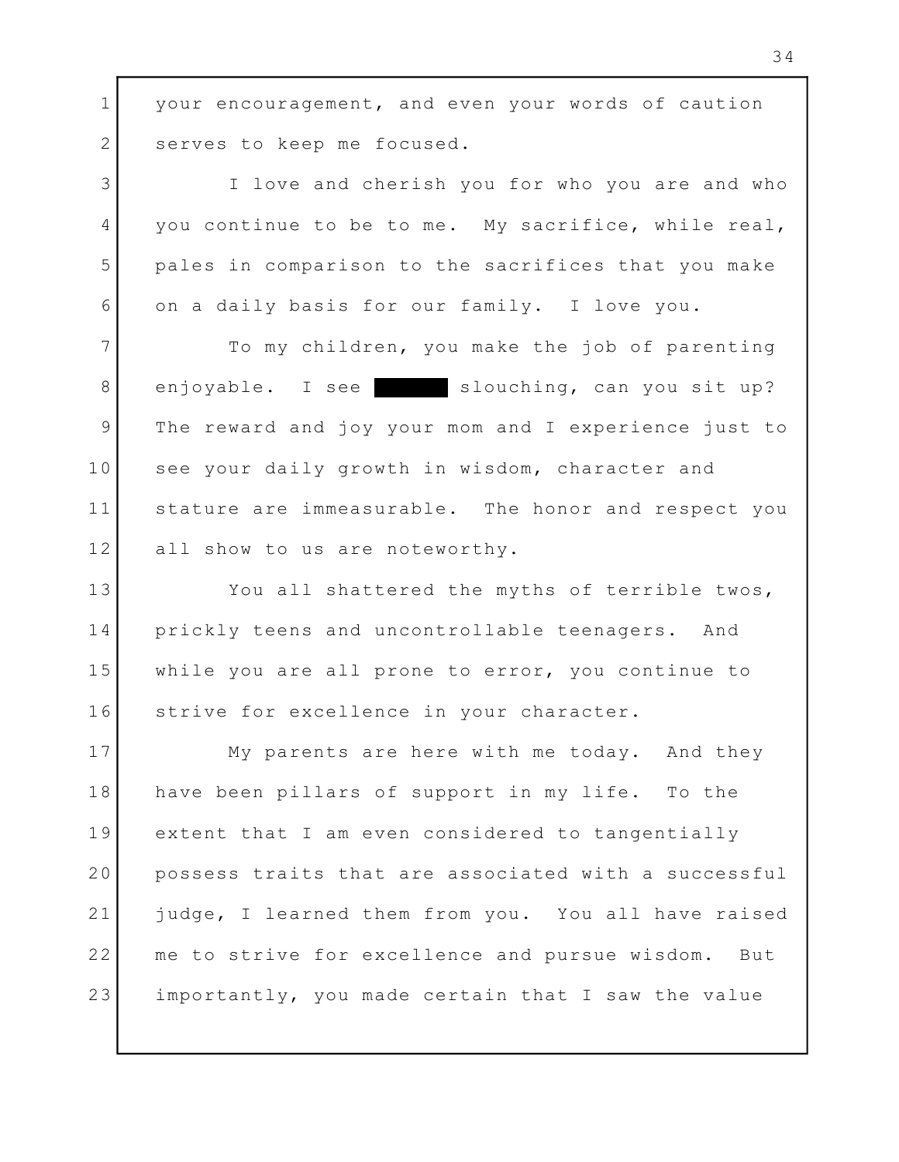1 your encouragement, and even your words of caution ( 2 Serves to keep me focused.

I love and cherish you for who you are and who 3 4 you continue to be to me. My sacrifice, while real, | pales in comparison to the sacrifices that you make 5 on a daily basis for our family. I love you. 6

7 To my children, you make the job of parenting 8 enjoyable. I see slouching, can you sit up? The reward and joy your mom and I experience just to 9 10 See your daily growth in wisdom, character and 11 stature are immeasurable. The honor and respect you | all show to us are noteworthy. 12

13 You all shattered the myths of terrible twos, prickly teens and uncontrollable teenagers. And 14 while you are all prone to error, you continue to 15 16 Strive for excellence in your character.

My parents are here with me today. And they 17 18 | have been pillars of support in my life. To the 19 extent that I am even considered to tangentially and the set of 20 | possess traits that are associated with a successful | 21 | judge, I learned them from you. You all have raised | 22 | me to strive for excellence and pursue wisdom. But | importantly, you made certain that I saw the value 23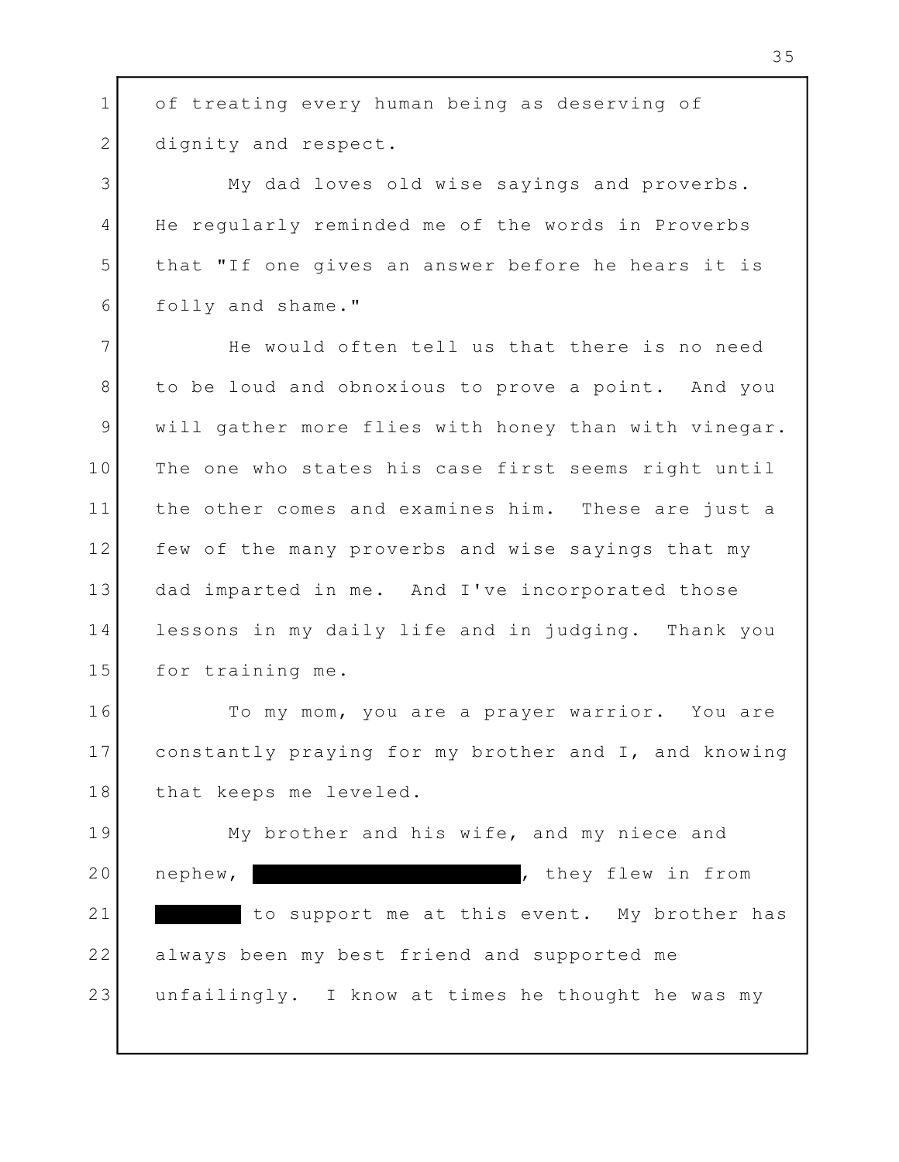1 of treating every human being as deserving of 2 dignity and respect. My dad loves old wise sayings and proverbs. 3 4 He regularly reminded me of the words in Proverbs 5 | that "If one gives an answer before he hears it is folly and shame." 6 7 The would often tell us that there is no need to be loud and obnoxious to prove a point. And you 8 9 | will gather more flies with honey than with vinegar. | 10 | The one who states his case first seems right until | 11 | the other comes and examines him. These are just a I 12 few of the many proverbs and wise sayings that my dad imparted in me. And I've incorporated those 13 lessons in my daily life and in judging. Thank you 14 15 for training me. To my mom, you are a prayer warrior. You are 16 constantly praying for my brother and I, and knowing 17 18 that keeps me leveled. My brother and his wife, and my niece and 19 , they flew in from 21 The support me at this event. My brother has always been my best friend and supported me 22 unfailingly. I know at times he thought he was my 20 nephew, 23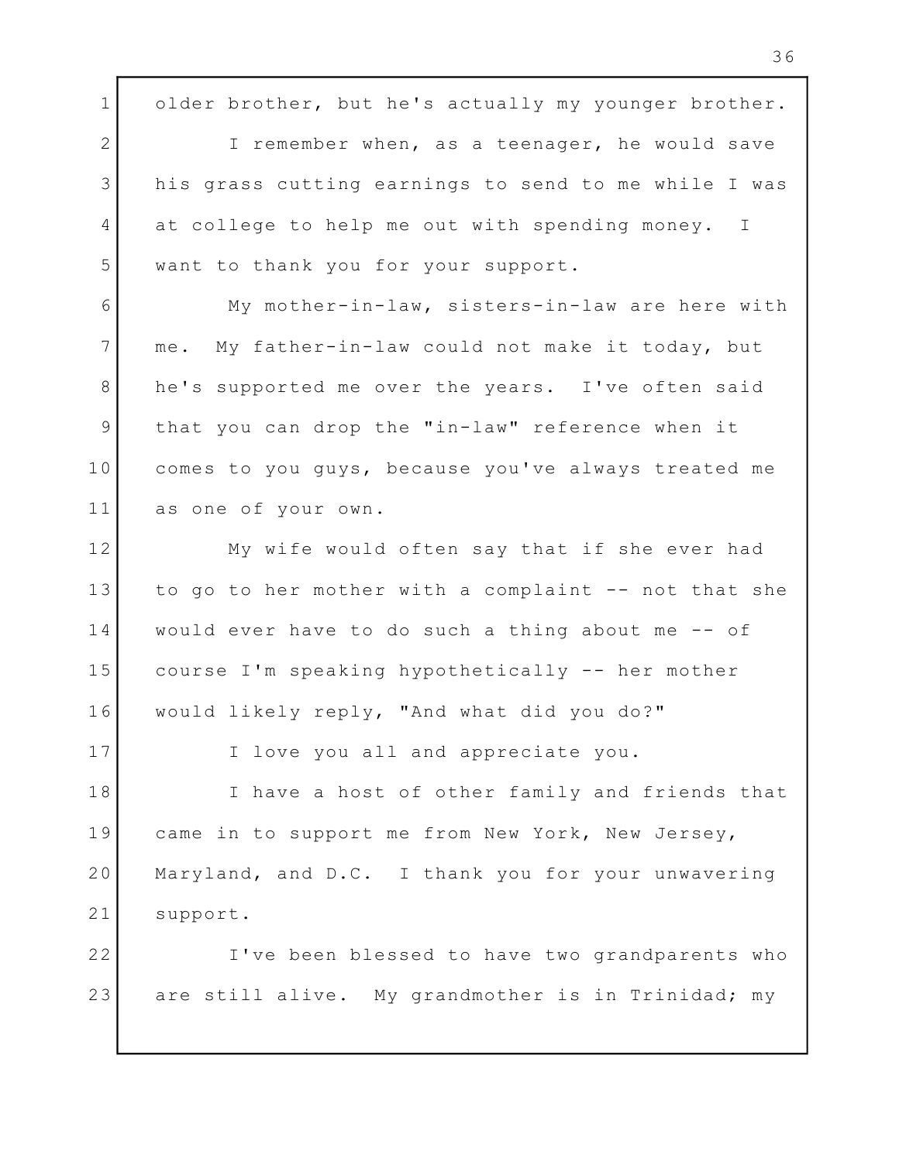1 older brother, but he's actually my younger brother. 2 I remember when, as a teenager, he would save 3 | his grass cutting earnings to send to me while I was | 4 at college to help me out with spending money. I want to thank you for your support. 5 My mother-in-law, sisters-in-law are here with 6 me. My father-in-law could not make it today, but 7 8 | he's supported me over the years. I've often said 9 | that you can drop the "in-law" reference when it comes to you guys, because you've always treated me 10 as one of your own. 11 My wife would often say that if she ever had 12 13 | to go to her mother with a complaint -- not that she | 14 | would ever have to do such a thing about me -- of course I'm speaking hypothetically -- her mother 15 would likely reply, "And what did you do?" 16 17 I love you all and appreciate you. 18 Thave a host of other family and friends that came in to support me from New York, New Jersey, 19 Maryland, and D.C. I thank you for your unwavering 20 21 support. I've been blessed to have two grandparents who 22 are still alive. My grandmother is in Trinidad; my 23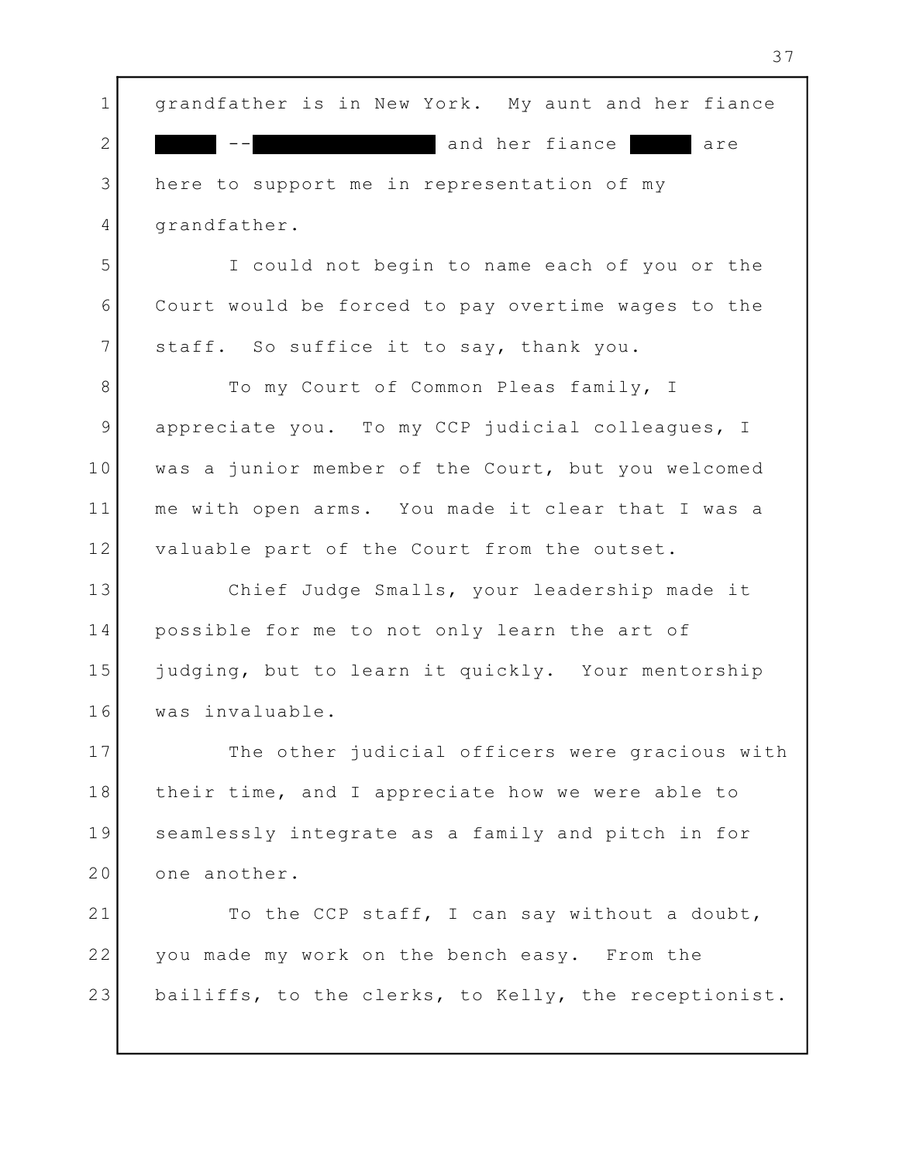1 | grandfather is in New York. My aunt and her fiance | and her fiance are 3 here to support me in representation of my 4 grandfather. I could not begin to name each of you or the 5 Court would be forced to pay overtime wages to the 6 7 staff. So suffice it to say, thank you. 8 To my Court of Common Pleas family, I 9 appreciate you. To my CCP judicial colleagues, I was a junior member of the Court, but you welcomed 10 me with open arms. You made it clear that I was a 11 12 valuable part of the Court from the outset. Chief Judge Smalls, your leadership made it 13 possible for me to not only learn the art of 14 15 | judging, but to learn it quickly. Your mentorship was invaluable. 16 17 The other judicial officers were gracious with  $\vert$ 18 | their time, and I appreciate how we were able to Theory 19 Seamlessly integrate as a family and pitch in for the seamless of 20 one another. 21 To the CCP staff, I can say without a doubt, you made my work on the bench easy. From the 22 bailiffs, to the clerks, to Kelly, the receptionist.  $2$ 23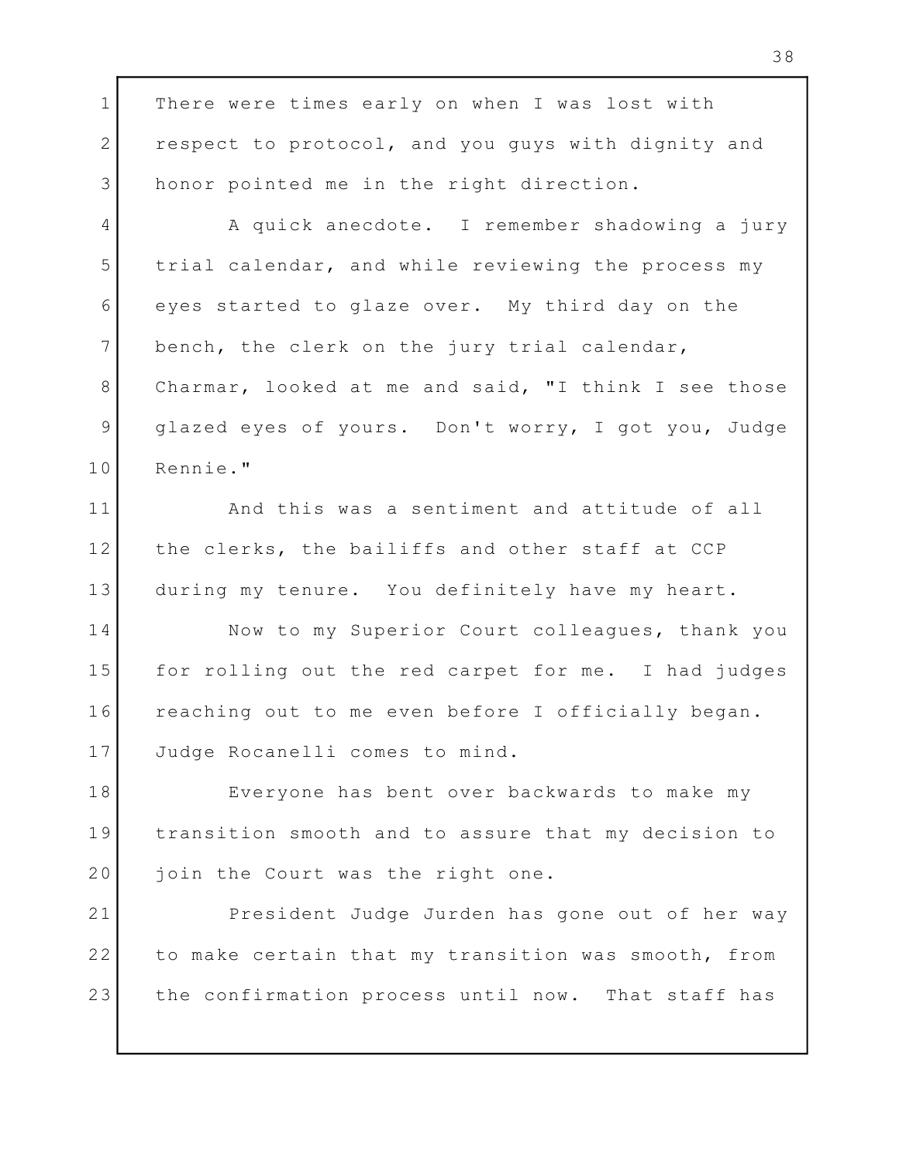1 There were times early on when I was lost with There were times early on when I was lost with 2 | respect to protocol, and you guys with dignity and | 3 honor pointed me in the right direction. A quick anecdote. I remember shadowing a jury 4 5 | trial calendar, and while reviewing the process my 6 eyes started to glaze over. My third day on the the the started to glaze over. My third day on the 7 bench, the clerk on the jury trial calendar, Charmar, looked at me and said, "I think I see those 8 glazed eyes of yours. Don't worry, I got you, Judge 9 Rennie." 10 11 and this was a sentiment and attitude of all and this was a sentiment and attitude of all 12 | the clerks, the bailiffs and other staff at CCP | 13 during my tenure. You definitely have my heart. 14 Now to my Superior Court colleagues, thank you 15 | for rolling out the red carpet for me. I had judges | 16 | reaching out to me even before I officially began. 17 Judge Rocanelli comes to mind. Everyone has bent over backwards to make my 18 19 | transition smooth and to assure that my decision to | 20 join the Court was the right one. 21 President Judge Jurden has gone out of her way 22 | to make certain that my transition was smooth, from | the confirmation process until now. That staff has 23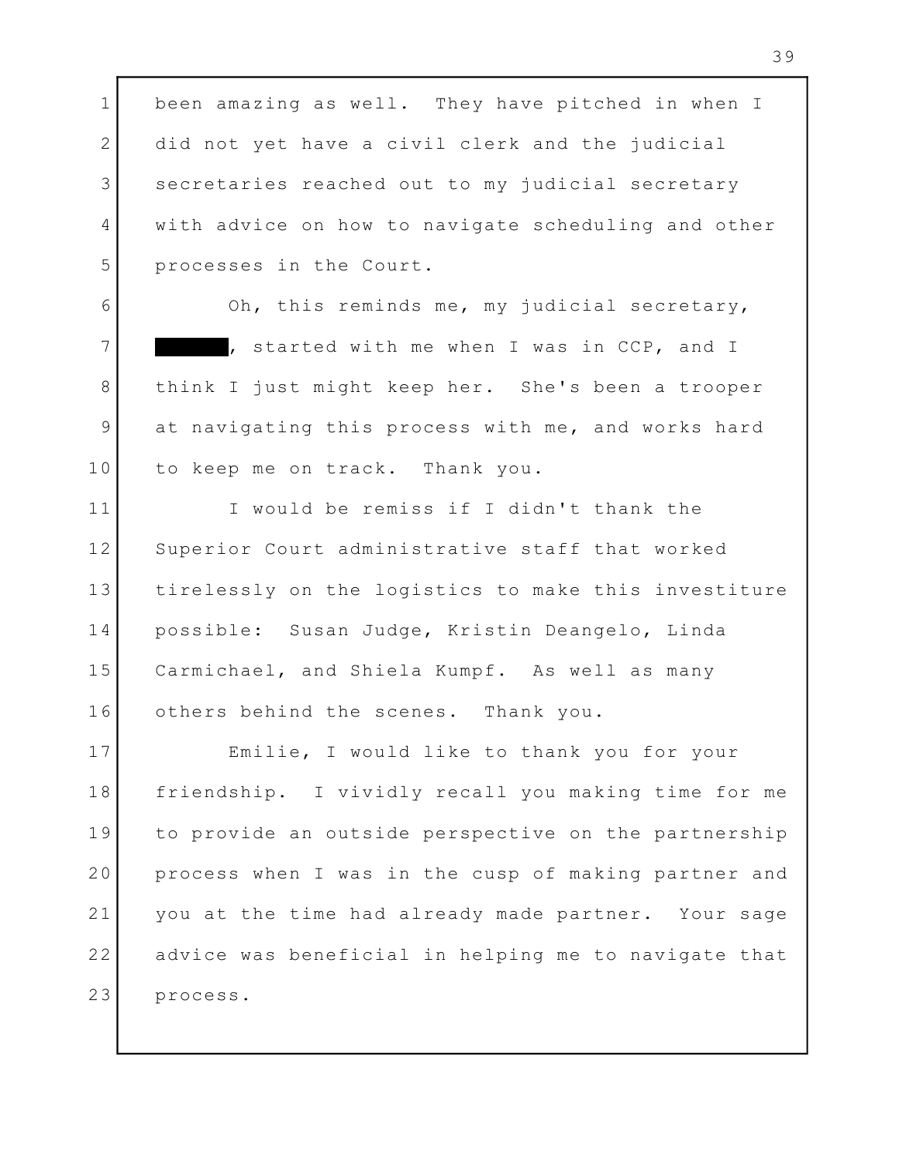1 been amazing as well. They have pitched in when I and 2 did not yet have a civil clerk and the judicial 3 Secretaries reached out to my judicial secretary and the secretary of the secretaries of the secretary and t 4 | with advice on how to navigate scheduling and other | processes in the Court. 5

Oh, this reminds me, my judicial secretary, 6 7 The started with me when I was in CCP, and I The 1 think I just might keep her. She's been a trooper 8 9 at navigating this process with me, and works hard | to keep me on track. Thank you. 10

11 1 I would be remiss if I didn't thank the 12 Superior Court administrative staff that worked 13 | tirelessly on the logistics to make this investiture | possible: Susan Judge, Kristin Deangelo, Linda 14 Carmichael, and Shiela Kumpf. As well as many 15 others behind the scenes. Thank you. 16

Emilie, I would like to thank you for your 17 18 | friendship. I vividly recall you making time for me | 19 to provide an outside perspective on the partnership | 20 process when I was in the cusp of making partner and  $\vert$ 21 | you at the time had already made partner. Your sage | 22 | advice was beneficial in helping me to navigate that | process. 23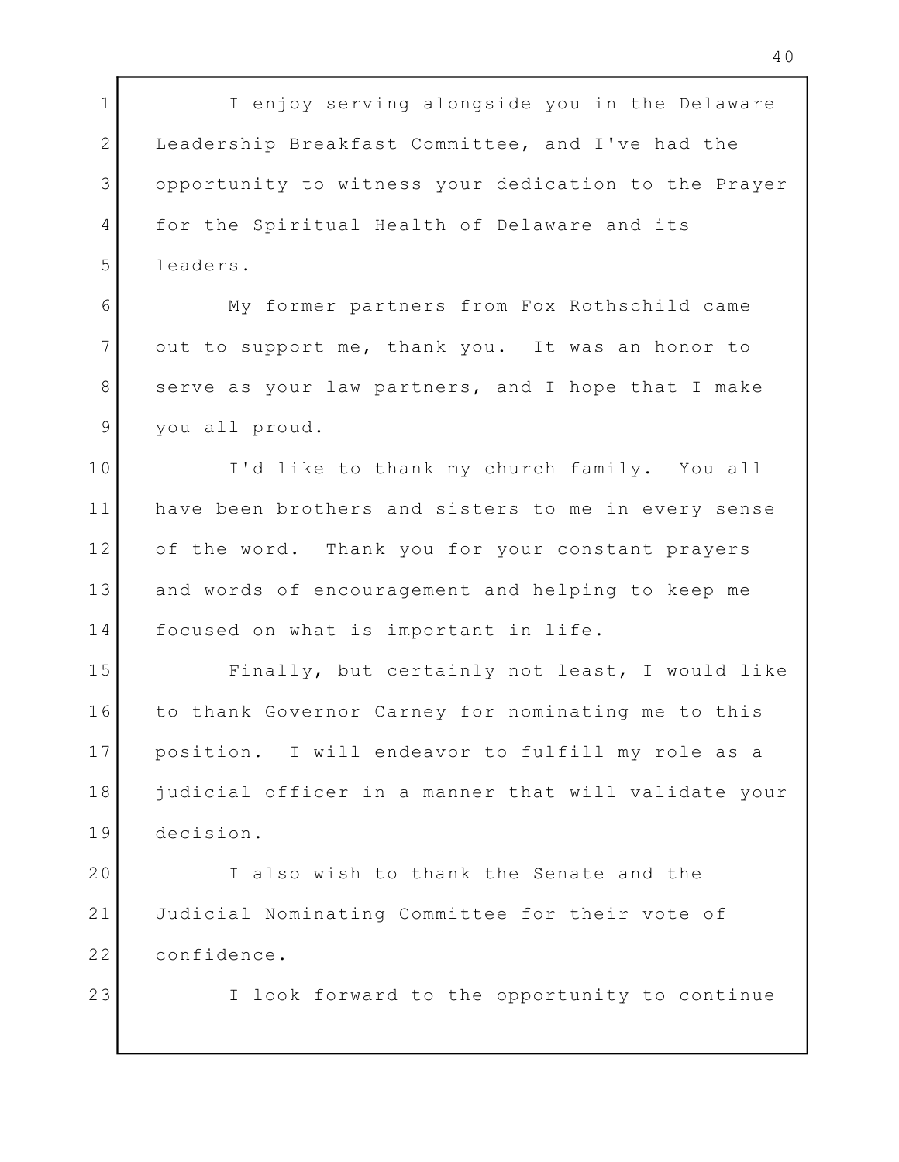1 T enjoy serving alongside you in the Delaware 2 Leadership Breakfast Committee, and I've had the opportunity to witness your dedication to the Prayer 3 4 for the Spiritual Health of Delaware and its leaders. 5 My former partners from Fox Rothschild came 6 7 out to support me, thank you. It was an honor to 8 Serve as your law partners, and I hope that I make you all proud. 9 I'd like to thank my church family. You all 10 11 | have been brothers and sisters to me in every sense | of the word. Thank you for your constant prayers 12 13 and words of encouragement and helping to keep me 14 focused on what is important in life. 15 Finally, but certainly not least, I would like 16 to thank Governor Carney for nominating me to this (1988) 17 | position. I will endeavor to fulfill my role as a 18 | judicial officer in a manner that will validate your | decision. 19 20 I also wish to thank the Senate and the 21 Judicial Nominating Committee for their vote of 22 confidence. I look forward to the opportunity to continue 23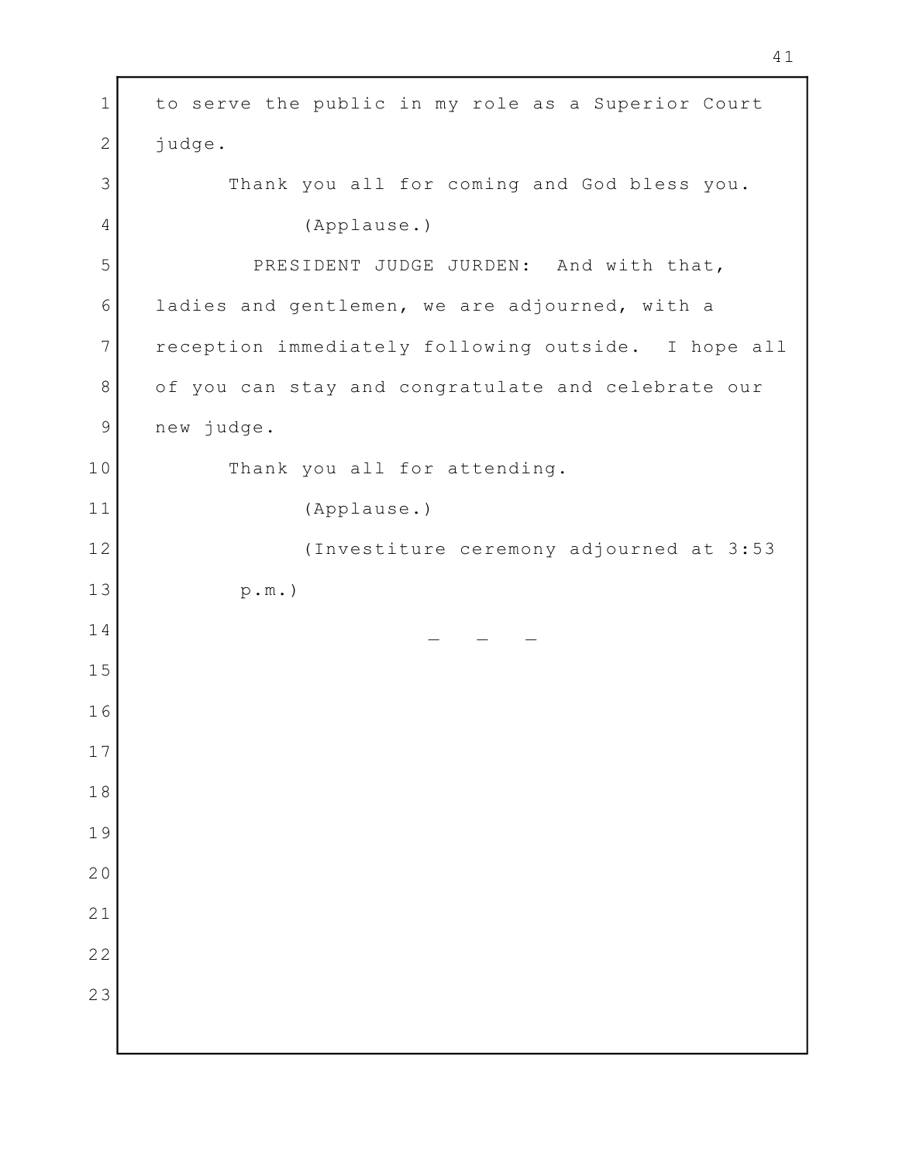1 to serve the public in my role as a Superior Court | 2 judge. Thank you all for coming and God bless you. (Applause.) 5 PRESIDENT JUDGE JURDEN: And with that, 6 ladies and gentlemen, we are adjourned, with a 7 | reception immediately following outside. I hope all | of you can stay and congratulate and celebrate our new judge. 10 Thank you all for attending. (Applause.) (Investiture ceremony adjourned at 3:53 p.m.)  $\mathcal{L} = \mathcal{L} \times \mathcal{L}$  , where  $\mathcal{L} = \{ \mathcal{L} \times \mathcal{L} \times \mathcal{L} \times \mathcal{L} \}$